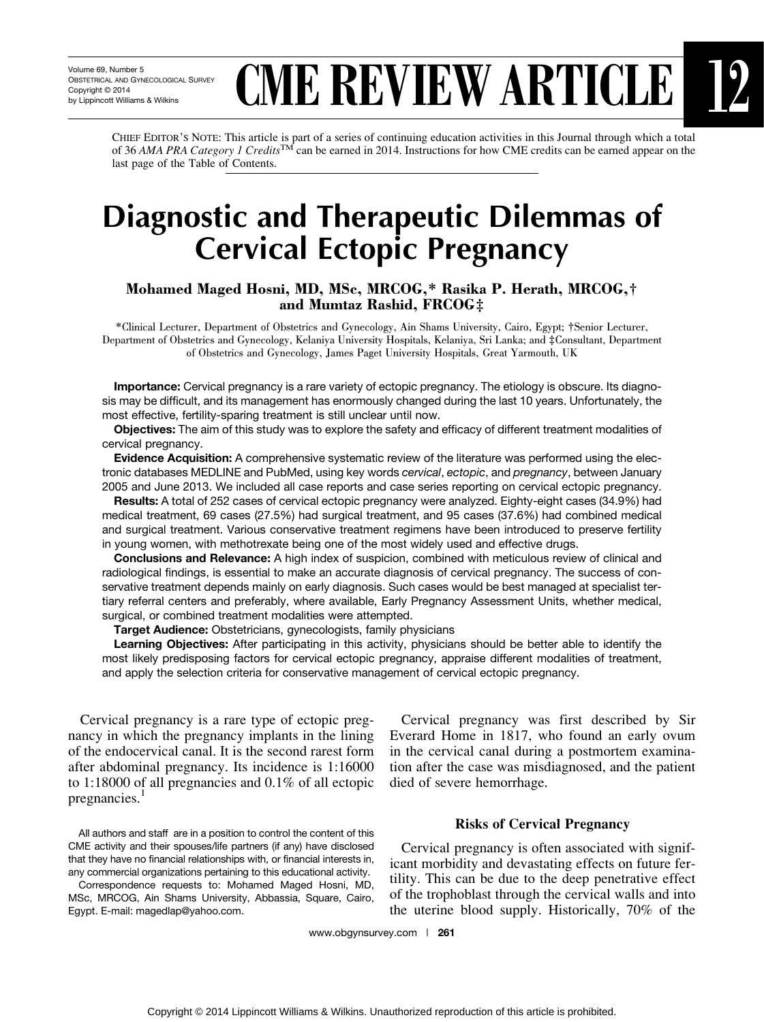# **CME REVIEW ARTICLE**

CHIEF EDITOR'S NOTE: This article is part of a series of continuing education activities in this Journal through which a total of 36 AMA PRA Category 1 Credits<sup>TM</sup> can be earned in 2014. Instructions for how CME credits can be earned appear on the last page of the Table of Contents.

# Diagnostic and Therapeutic Dilemmas of Cervical Ectopic Pregnancy

## Mohamed Maged Hosni, MD, MSc, MRCOG,\* Rasika P. Herath, MRCOG,† and Mumtaz Rashid, FRCOG‡

\*Clinical Lecturer, Department of Obstetrics and Gynecology, Ain Shams University, Cairo, Egypt; †Senior Lecturer, Department of Obstetrics and Gynecology, Kelaniya University Hospitals, Kelaniya, Sri Lanka; and ‡Consultant, Department of Obstetrics and Gynecology, James Paget University Hospitals, Great Yarmouth, UK

Importance: Cervical pregnancy is a rare variety of ectopic pregnancy. The etiology is obscure. Its diagnosis may be difficult, and its management has enormously changed during the last 10 years. Unfortunately, the most effective, fertility-sparing treatment is still unclear until now.

Objectives: The aim of this study was to explore the safety and efficacy of different treatment modalities of cervical pregnancy.

Evidence Acquisition: A comprehensive systematic review of the literature was performed using the electronic databases MEDLINE and PubMed, using key words cervical, ectopic, and pregnancy, between January 2005 and June 2013. We included all case reports and case series reporting on cervical ectopic pregnancy.

Results: A total of 252 cases of cervical ectopic pregnancy were analyzed. Eighty-eight cases (34.9%) had medical treatment, 69 cases (27.5%) had surgical treatment, and 95 cases (37.6%) had combined medical and surgical treatment. Various conservative treatment regimens have been introduced to preserve fertility in young women, with methotrexate being one of the most widely used and effective drugs.

Conclusions and Relevance: A high index of suspicion, combined with meticulous review of clinical and radiological findings, is essential to make an accurate diagnosis of cervical pregnancy. The success of conservative treatment depends mainly on early diagnosis. Such cases would be best managed at specialist tertiary referral centers and preferably, where available, Early Pregnancy Assessment Units, whether medical, surgical, or combined treatment modalities were attempted.

Target Audience: Obstetricians, gynecologists, family physicians

Learning Objectives: After participating in this activity, physicians should be better able to identify the most likely predisposing factors for cervical ectopic pregnancy, appraise different modalities of treatment, and apply the selection criteria for conservative management of cervical ectopic pregnancy.

Cervical pregnancy is a rare type of ectopic pregnancy in which the pregnancy implants in the lining of the endocervical canal. It is the second rarest form after abdominal pregnancy. Its incidence is 1:16000 to 1:18000 of all pregnancies and 0.1% of all ectopic pregnancies.

All authors and staff are in a position to control the content of this CME activity and their spouses/life partners (if any) have disclosed that they have no financial relationships with, or financial interests in, any commercial organizations pertaining to this educational activity.

Correspondence requests to: Mohamed Maged Hosni, MD, MSc, MRCOG, Ain Shams University, Abbassia, Square, Cairo, Egypt. E-mail: magedlap@yahoo.com.

Cervical pregnancy was first described by Sir Everard Home in 1817, who found an early ovum in the cervical canal during a postmortem examination after the case was misdiagnosed, and the patient died of severe hemorrhage.

#### Risks of Cervical Pregnancy

Cervical pregnancy is often associated with significant morbidity and devastating effects on future fertility. This can be due to the deep penetrative effect of the trophoblast through the cervical walls and into the uterine blood supply. Historically, 70% of the

www.obgynsurvey.com | 261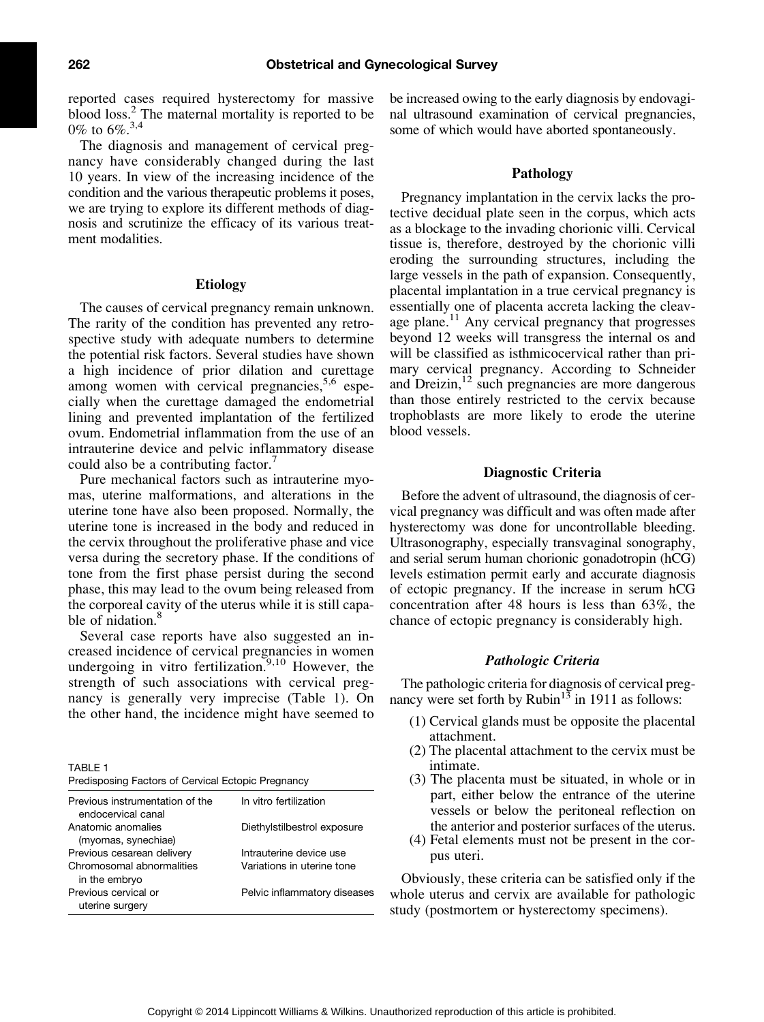reported cases required hysterectomy for massive blood loss.<sup>2</sup> The maternal mortality is reported to be 0% to  $6\%$ <sup>3,4</sup>

The diagnosis and management of cervical pregnancy have considerably changed during the last 10 years. In view of the increasing incidence of the condition and the various therapeutic problems it poses, we are trying to explore its different methods of diagnosis and scrutinize the efficacy of its various treatment modalities.

#### Etiology

The causes of cervical pregnancy remain unknown. The rarity of the condition has prevented any retrospective study with adequate numbers to determine the potential risk factors. Several studies have shown a high incidence of prior dilation and curettage among women with cervical pregnancies, $5.6$  especially when the curettage damaged the endometrial lining and prevented implantation of the fertilized ovum. Endometrial inflammation from the use of an intrauterine device and pelvic inflammatory disease could also be a contributing factor.<sup>7</sup>

Pure mechanical factors such as intrauterine myomas, uterine malformations, and alterations in the uterine tone have also been proposed. Normally, the uterine tone is increased in the body and reduced in the cervix throughout the proliferative phase and vice versa during the secretory phase. If the conditions of tone from the first phase persist during the second phase, this may lead to the ovum being released from the corporeal cavity of the uterus while it is still capable of nidation.<sup>8</sup>

Several case reports have also suggested an increased incidence of cervical pregnancies in women undergoing in vitro fertilization.<sup>9,10</sup> However, the strength of such associations with cervical pregnancy is generally very imprecise (Table 1). On the other hand, the incidence might have seemed to

TABLE 1

| Predisposing Factors of Cervical Ectopic Pregnancy |  |  |  |  |  |
|----------------------------------------------------|--|--|--|--|--|
|----------------------------------------------------|--|--|--|--|--|

| Previous instrumentation of the<br>endocervical canal    | In vitro fertilization                                |
|----------------------------------------------------------|-------------------------------------------------------|
| Anatomic anomalies<br>(myomas, synechiae)                | Diethylstilbestrol exposure                           |
| Previous cesarean delivery<br>Chromosomal abnormalities  | Intrauterine device use<br>Variations in uterine tone |
| in the embryo<br>Previous cervical or<br>uterine surgery | Pelvic inflammatory diseases                          |

be increased owing to the early diagnosis by endovaginal ultrasound examination of cervical pregnancies, some of which would have aborted spontaneously.

#### Pathology

Pregnancy implantation in the cervix lacks the protective decidual plate seen in the corpus, which acts as a blockage to the invading chorionic villi. Cervical tissue is, therefore, destroyed by the chorionic villi eroding the surrounding structures, including the large vessels in the path of expansion. Consequently, placental implantation in a true cervical pregnancy is essentially one of placenta accreta lacking the cleavage plane. $^{11}$  Any cervical pregnancy that progresses beyond 12 weeks will transgress the internal os and will be classified as isthmicocervical rather than primary cervical pregnancy. According to Schneider and Dreizin,<sup>12</sup> such pregnancies are more dangerous than those entirely restricted to the cervix because trophoblasts are more likely to erode the uterine blood vessels.

#### Diagnostic Criteria

Before the advent of ultrasound, the diagnosis of cervical pregnancy was difficult and was often made after hysterectomy was done for uncontrollable bleeding. Ultrasonography, especially transvaginal sonography, and serial serum human chorionic gonadotropin (hCG) levels estimation permit early and accurate diagnosis of ectopic pregnancy. If the increase in serum hCG concentration after 48 hours is less than 63%, the chance of ectopic pregnancy is considerably high.

#### Pathologic Criteria

The pathologic criteria for diagnosis of cervical pregnancy were set forth by Rubin<sup>13</sup> in 1911 as follows:

- (1) Cervical glands must be opposite the placental attachment.
- (2) The placental attachment to the cervix must be intimate.
- (3) The placenta must be situated, in whole or in part, either below the entrance of the uterine vessels or below the peritoneal reflection on the anterior and posterior surfaces of the uterus.
- (4) Fetal elements must not be present in the corpus uteri.

Obviously, these criteria can be satisfied only if the whole uterus and cervix are available for pathologic study (postmortem or hysterectomy specimens).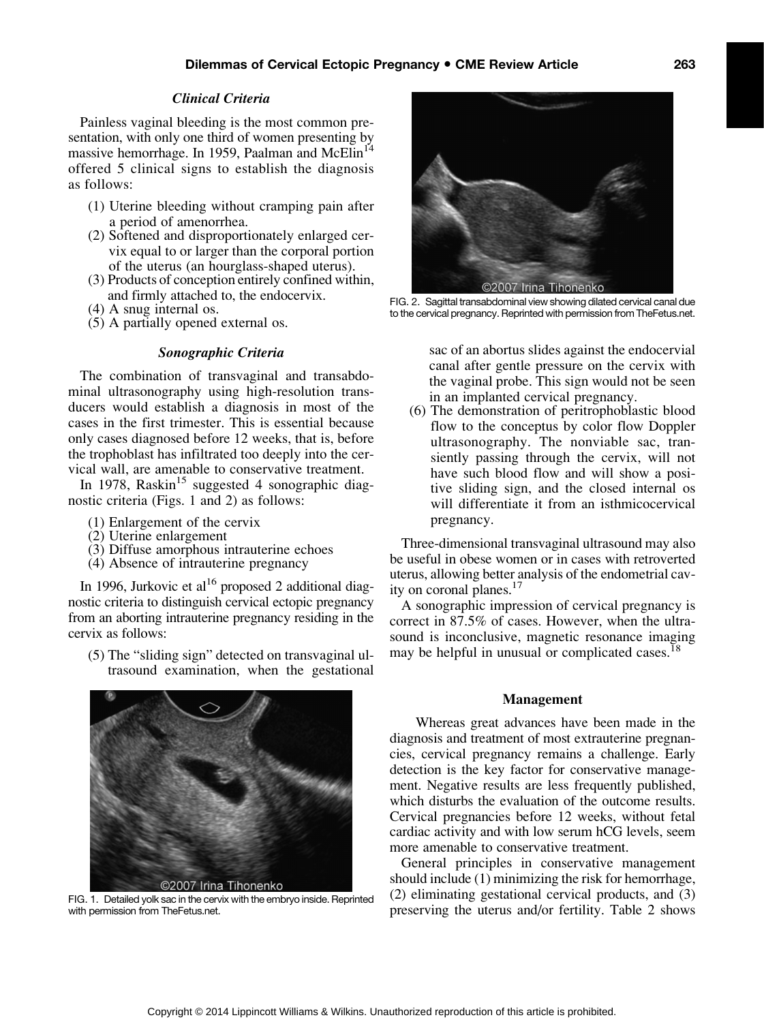#### Clinical Criteria

Painless vaginal bleeding is the most common presentation, with only one third of women presenting by massive hemorrhage. In 1959, Paalman and McElin<sup>14</sup> offered 5 clinical signs to establish the diagnosis as follows:

- (1) Uterine bleeding without cramping pain after a period of amenorrhea.
- (2) Softened and disproportionately enlarged cervix equal to or larger than the corporal portion of the uterus (an hourglass-shaped uterus).
- (3) Products of conception entirely confined within, and firmly attached to, the endocervix.
- (4) A snug internal os.
- (5) A partially opened external os.

#### Sonographic Criteria

The combination of transvaginal and transabdominal ultrasonography using high-resolution transducers would establish a diagnosis in most of the cases in the first trimester. This is essential because only cases diagnosed before 12 weeks, that is, before the trophoblast has infiltrated too deeply into the cervical wall, are amenable to conservative treatment.

In 1978, Raskin<sup>15</sup> suggested 4 sonographic diagnostic criteria (Figs. 1 and 2) as follows:

- (1) Enlargement of the cervix
- (2) Uterine enlargement
- (3) Diffuse amorphous intrauterine echoes
- (4) Absence of intrauterine pregnancy

In 1996, Jurkovic et al<sup>16</sup> proposed 2 additional diagnostic criteria to distinguish cervical ectopic pregnancy from an aborting intrauterine pregnancy residing in the cervix as follows:

(5) The "sliding sign" detected on transvaginal ultrasound examination, when the gestational



FIG. 1. Detailed yolk sac in the cervix with the embryo inside. Reprinted with permission from [TheFetus.net.](TheFetus.net)



FIG. 2. Sagittal transabdominal view showing dilated cervical canal due to the cervical pregnancy. Reprinted with permission from<TheFetus.net>.

sac of an abortus slides against the endocervial canal after gentle pressure on the cervix with the vaginal probe. This sign would not be seen in an implanted cervical pregnancy.

(6) The demonstration of peritrophoblastic blood flow to the conceptus by color flow Doppler ultrasonography. The nonviable sac, transiently passing through the cervix, will not have such blood flow and will show a positive sliding sign, and the closed internal os will differentiate it from an isthmicocervical pregnancy.

Three-dimensional transvaginal ultrasound may also be useful in obese women or in cases with retroverted uterus, allowing better analysis of the endometrial cavity on coronal planes.<sup>17</sup>

A sonographic impression of cervical pregnancy is correct in 87.5% of cases. However, when the ultrasound is inconclusive, magnetic resonance imaging may be helpful in unusual or complicated cases.<sup>18</sup>

#### Management

Whereas great advances have been made in the diagnosis and treatment of most extrauterine pregnancies, cervical pregnancy remains a challenge. Early detection is the key factor for conservative management. Negative results are less frequently published, which disturbs the evaluation of the outcome results. Cervical pregnancies before 12 weeks, without fetal cardiac activity and with low serum hCG levels, seem more amenable to conservative treatment.

General principles in conservative management should include (1) minimizing the risk for hemorrhage, (2) eliminating gestational cervical products, and (3) preserving the uterus and/or fertility. Table 2 shows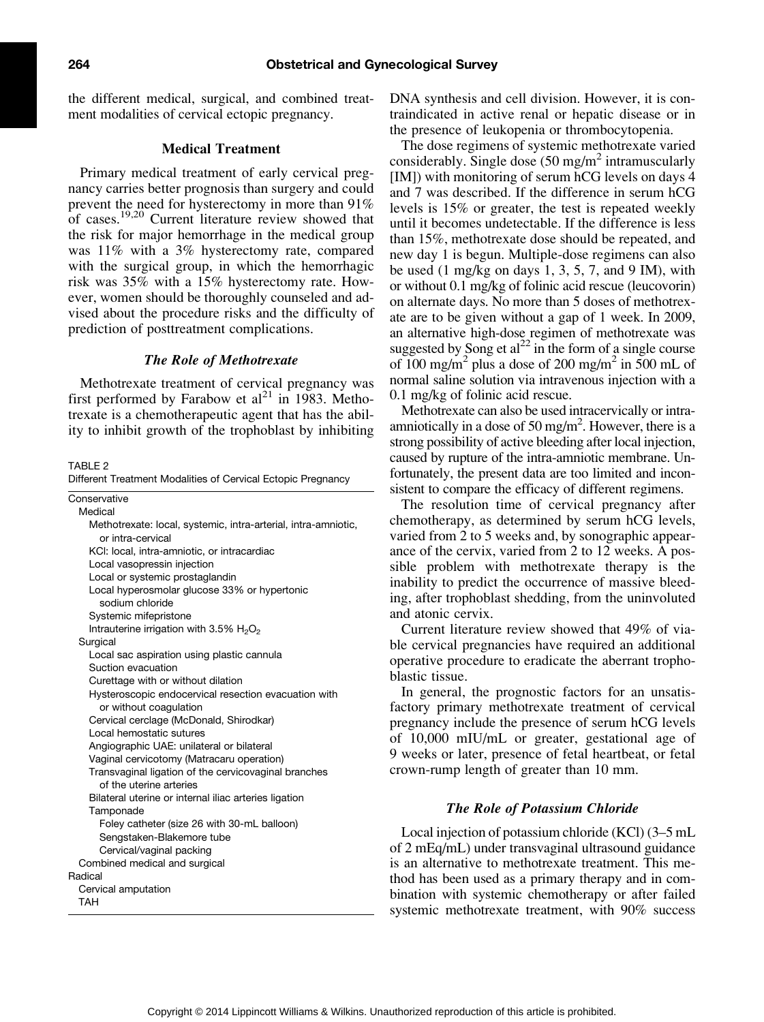the different medical, surgical, and combined treatment modalities of cervical ectopic pregnancy.

#### Medical Treatment

Primary medical treatment of early cervical pregnancy carries better prognosis than surgery and could prevent the need for hysterectomy in more than 91% of cases.19,20 Current literature review showed that the risk for major hemorrhage in the medical group was 11% with a 3% hysterectomy rate, compared with the surgical group, in which the hemorrhagic risk was 35% with a 15% hysterectomy rate. However, women should be thoroughly counseled and advised about the procedure risks and the difficulty of prediction of posttreatment complications.

#### The Role of Methotrexate

Methotrexate treatment of cervical pregnancy was first performed by Farabow et al<sup>21</sup> in 1983. Methotrexate is a chemotherapeutic agent that has the ability to inhibit growth of the trophoblast by inhibiting

TABLE 2

Different Treatment Modalities of Cervical Ectopic Pregnancy

| Conservative                                                                    |
|---------------------------------------------------------------------------------|
| Medical                                                                         |
| Methotrexate: local, systemic, intra-arterial, intra-amniotic,                  |
| or intra-cervical                                                               |
| KCI: local, intra-amniotic, or intracardiac                                     |
| Local vasopressin injection                                                     |
| Local or systemic prostaglandin                                                 |
| Local hyperosmolar glucose 33% or hypertonic<br>sodium chloride                 |
| Systemic mifepristone                                                           |
| Intrauterine irrigation with 3.5% $H_2O_2$                                      |
| Surgical                                                                        |
| Local sac aspiration using plastic cannula                                      |
| Suction evacuation                                                              |
| Curettage with or without dilation                                              |
| Hysteroscopic endocervical resection evacuation with<br>or without coagulation  |
| Cervical cerclage (McDonald, Shirodkar)                                         |
| Local hemostatic sutures                                                        |
| Angiographic UAE: unilateral or bilateral                                       |
| Vaginal cervicotomy (Matracaru operation)                                       |
| Transvaginal ligation of the cervicovaginal branches<br>of the uterine arteries |
| Bilateral uterine or internal iliac arteries ligation                           |
| Tamponade                                                                       |
| Foley catheter (size 26 with 30-mL balloon)                                     |
| Sengstaken-Blakemore tube                                                       |
| Cervical/vaginal packing                                                        |
| Combined medical and surgical                                                   |
| Radical                                                                         |
| Cervical amputation                                                             |
| TAH                                                                             |

DNA synthesis and cell division. However, it is contraindicated in active renal or hepatic disease or in the presence of leukopenia or thrombocytopenia.

The dose regimens of systemic methotrexate varied considerably. Single dose  $(50 \text{ mg/m}^2 \text{ intramuscularly})$ [IM]) with monitoring of serum hCG levels on days 4 and 7 was described. If the difference in serum hCG levels is 15% or greater, the test is repeated weekly until it becomes undetectable. If the difference is less than 15%, methotrexate dose should be repeated, and new day 1 is begun. Multiple-dose regimens can also be used  $(1 \text{ mg/kg}$  on days 1, 3, 5, 7, and 9 IM), with or without 0.1 mg/kg of folinic acid rescue (leucovorin) on alternate days. No more than 5 doses of methotrexate are to be given without a gap of 1 week. In 2009, an alternative high-dose regimen of methotrexate was suggested by Song et  $al^{22}$  in the form of a single course of 100 mg/m<sup>2</sup> plus a dose of 200 mg/m<sup>2</sup> in 500 mL of normal saline solution via intravenous injection with a 0.1 mg/kg of folinic acid rescue.

Methotrexate can also be used intracervically or intraamniotically in a dose of 50 mg/m<sup>2</sup>. However, there is a strong possibility of active bleeding after local injection, caused by rupture of the intra-amniotic membrane. Unfortunately, the present data are too limited and inconsistent to compare the efficacy of different regimens.

The resolution time of cervical pregnancy after chemotherapy, as determined by serum hCG levels, varied from 2 to 5 weeks and, by sonographic appearance of the cervix, varied from 2 to 12 weeks. A possible problem with methotrexate therapy is the inability to predict the occurrence of massive bleeding, after trophoblast shedding, from the uninvoluted and atonic cervix.

Current literature review showed that 49% of viable cervical pregnancies have required an additional operative procedure to eradicate the aberrant trophoblastic tissue.

In general, the prognostic factors for an unsatisfactory primary methotrexate treatment of cervical pregnancy include the presence of serum hCG levels of 10,000 mIU/mL or greater, gestational age of 9 weeks or later, presence of fetal heartbeat, or fetal crown-rump length of greater than 10 mm.

### The Role of Potassium Chloride

Local injection of potassium chloride (KCl) (3–5 mL of 2 mEq/mL) under transvaginal ultrasound guidance is an alternative to methotrexate treatment. This method has been used as a primary therapy and in combination with systemic chemotherapy or after failed systemic methotrexate treatment, with 90% success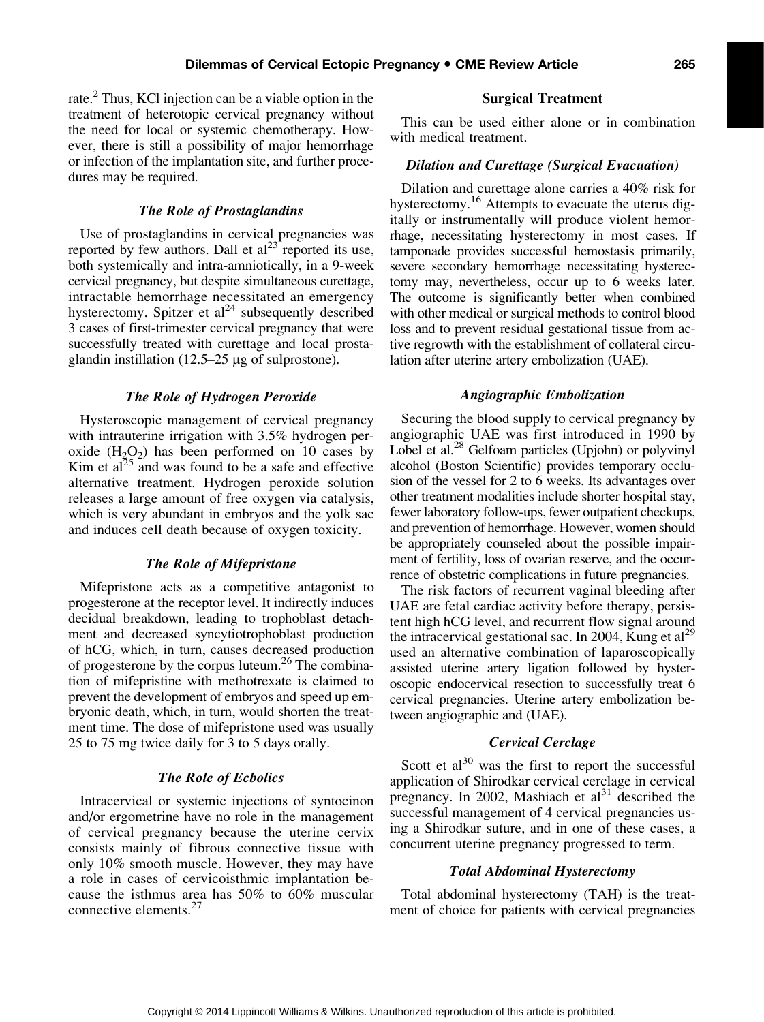rate.<sup>2</sup> Thus, KCl injection can be a viable option in the treatment of heterotopic cervical pregnancy without the need for local or systemic chemotherapy. However, there is still a possibility of major hemorrhage or infection of the implantation site, and further procedures may be required.

#### The Role of Prostaglandins

Use of prostaglandins in cervical pregnancies was reported by few authors. Dall et  $al^{23}$  reported its use, both systemically and intra-amniotically, in a 9-week cervical pregnancy, but despite simultaneous curettage, intractable hemorrhage necessitated an emergency hysterectomy. Spitzer et  $al<sup>24</sup>$  subsequently described 3 cases of first-trimester cervical pregnancy that were successfully treated with curettage and local prostaglandin instillation (12.5–25 *m*g of sulprostone).

#### The Role of Hydrogen Peroxide

Hysteroscopic management of cervical pregnancy with intrauterine irrigation with 3.5% hydrogen peroxide  $(H_2O_2)$  has been performed on 10 cases by Kim et  $al^{25}$  and was found to be a safe and effective alternative treatment. Hydrogen peroxide solution releases a large amount of free oxygen via catalysis, which is very abundant in embryos and the yolk sac and induces cell death because of oxygen toxicity.

#### The Role of Mifepristone

Mifepristone acts as a competitive antagonist to progesterone at the receptor level. It indirectly induces decidual breakdown, leading to trophoblast detachment and decreased syncytiotrophoblast production of hCG, which, in turn, causes decreased production of progesterone by the corpus luteum.26 The combination of mifepristine with methotrexate is claimed to prevent the development of embryos and speed up embryonic death, which, in turn, would shorten the treatment time. The dose of mifepristone used was usually 25 to 75 mg twice daily for 3 to 5 days orally.

#### The Role of Ecbolics

Intracervical or systemic injections of syntocinon and/or ergometrine have no role in the management of cervical pregnancy because the uterine cervix consists mainly of fibrous connective tissue with only 10% smooth muscle. However, they may have a role in cases of cervicoisthmic implantation because the isthmus area has 50% to 60% muscular connective elements.<sup>27</sup>

#### Surgical Treatment

This can be used either alone or in combination with medical treatment.

#### Dilation and Curettage (Surgical Evacuation)

Dilation and curettage alone carries a 40% risk for hysterectomy.<sup>16</sup> Attempts to evacuate the uterus digitally or instrumentally will produce violent hemorrhage, necessitating hysterectomy in most cases. If tamponade provides successful hemostasis primarily, severe secondary hemorrhage necessitating hysterectomy may, nevertheless, occur up to 6 weeks later. The outcome is significantly better when combined with other medical or surgical methods to control blood loss and to prevent residual gestational tissue from active regrowth with the establishment of collateral circulation after uterine artery embolization (UAE).

#### Angiographic Embolization

Securing the blood supply to cervical pregnancy by angiographic UAE was first introduced in 1990 by Lobel et al.<sup>28</sup> Gelfoam particles (Upjohn) or polyvinyl alcohol (Boston Scientific) provides temporary occlusion of the vessel for 2 to 6 weeks. Its advantages over other treatment modalities include shorter hospital stay, fewer laboratory follow-ups, fewer outpatient checkups, and prevention of hemorrhage. However, women should be appropriately counseled about the possible impairment of fertility, loss of ovarian reserve, and the occurrence of obstetric complications in future pregnancies.

The risk factors of recurrent vaginal bleeding after UAE are fetal cardiac activity before therapy, persistent high hCG level, and recurrent flow signal around the intracervical gestational sac. In 2004, Kung et al<sup>29</sup> used an alternative combination of laparoscopically assisted uterine artery ligation followed by hysteroscopic endocervical resection to successfully treat 6 cervical pregnancies. Uterine artery embolization between angiographic and (UAE).

#### Cervical Cerclage

Scott et  $al^{30}$  was the first to report the successful application of Shirodkar cervical cerclage in cervical pregnancy. In 2002, Mashiach et  $al<sup>31</sup>$  described the successful management of 4 cervical pregnancies using a Shirodkar suture, and in one of these cases, a concurrent uterine pregnancy progressed to term.

#### Total Abdominal Hysterectomy

Total abdominal hysterectomy (TAH) is the treatment of choice for patients with cervical pregnancies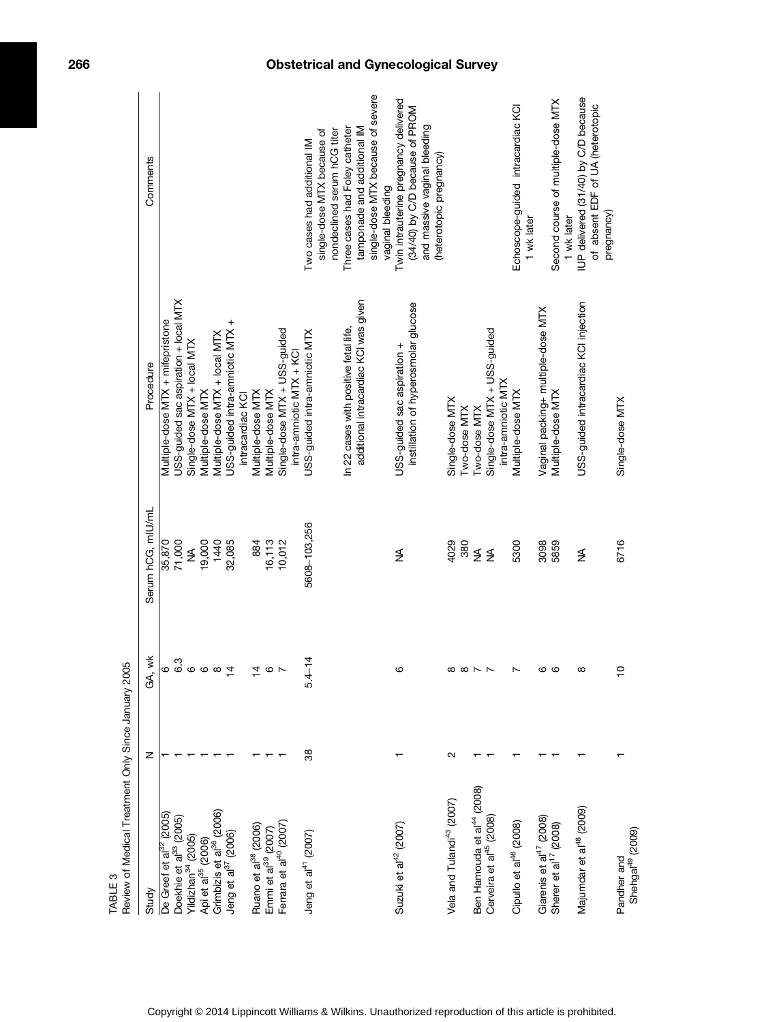| Review of Medical Treatment Only Since January 2005<br>TABLE <sub>3</sub>     |    |                              |                         |                                       |                                                           |
|-------------------------------------------------------------------------------|----|------------------------------|-------------------------|---------------------------------------|-----------------------------------------------------------|
| Study                                                                         | z  | GA, wk                       | Serum hCG, mlU/mL       | Procedure                             | Comments                                                  |
| De Greef et al <sup>32</sup> (2005)                                           |    |                              | 35,870                  | Multiple-dose MTX + mifepristone      |                                                           |
| Doekhie et al <sup>33</sup> (2005)                                            |    |                              | 71,000                  | USS-guided sac aspiration + local MTX |                                                           |
| Yildizhan <sup>34</sup> (2005)                                                |    |                              | ≸                       | Single-dose MTX + local MTX           |                                                           |
| Api et al <sup>35</sup> (2006)                                                |    | ္မွ က<br>ဖြစ္ပါတီ စာ         | 19,000                  | Multiple-dose MTX                     |                                                           |
| Grimbizis et al <sup>36</sup> (2006)                                          |    |                              | 1440                    | Multiple-dose MTX + local MTX         |                                                           |
| Jeng et al <sup>37</sup> (2006)                                               |    | 4                            | 32,085                  | USS-guided intra-amniotic MTX +       |                                                           |
|                                                                               |    |                              |                         | intracardiac KCI                      |                                                           |
| Ruano et al <sup>38</sup> (2006)                                              |    |                              | 884                     | Multiple-dose MTX                     |                                                           |
| Emmi et al <sup>39</sup> (2007)                                               |    | 4 Q L                        | 16,113                  | Multiple-dose MTX                     |                                                           |
| Ferrara et al <sup>40</sup> (2007)                                            |    |                              | 10,012                  | Single-dose MTX + USS-guided          |                                                           |
|                                                                               |    |                              |                         | intra-amniotic MTX + KCI              |                                                           |
| Jeng et al <sup>41</sup> (2007)                                               | 38 | $\frac{4}{1}$<br>5.4         | 5608-103,256            | USS-guided intra-amniotic MTX         | Two cases had additional IM                               |
|                                                                               |    |                              |                         |                                       | nondeclined serum hCG titer<br>single-dose MTX because of |
|                                                                               |    |                              |                         | In 22 cases with positive fetal life, | Three cases had Foley catheter                            |
|                                                                               |    |                              |                         | additional intracardiac KCI was given | tamponade and additional IM                               |
|                                                                               |    |                              |                         |                                       | single-dose MTX because of severe<br>vaginal bleeding     |
|                                                                               |    |                              |                         |                                       |                                                           |
| Suzuki et al <sup>42</sup> (2007)                                             |    | ဖ                            | $\frac{4}{2}$           | USS-guided sac aspiration +           | Twin intrauterine pregnancy delivered                     |
|                                                                               |    |                              |                         | instillation of hyperosmolar glucose  | (34/40) by C/D because of PROM                            |
|                                                                               |    |                              |                         |                                       | and massive vaginal bleeding                              |
|                                                                               |    |                              |                         |                                       | (heterotopic pregnancy)                                   |
| Vela and Tulandi <sup>43</sup> (2007)                                         | Ν  | $\alpha \propto \sim$ $\sim$ | 4029                    | Single-dose MTX                       |                                                           |
|                                                                               |    |                              | 380                     | Two-dose MTX                          |                                                           |
|                                                                               |    |                              | $\stackrel{\leq}{\geq}$ | Two-dose MTX                          |                                                           |
| Ben Hamouda et al <sup>44</sup> (2008)<br>Cerveira et al <sup>45</sup> (2008) |    |                              |                         | Single-dose MTX + USS-guided          |                                                           |
|                                                                               |    |                              |                         | intra-amniotic MTX                    |                                                           |
| Cipullo et al <sup>46</sup> (2008)                                            |    | $\overline{\phantom{0}}$     | 5300                    | Multiple-dose MTX                     | Echoscope-guided intracardiac KCI                         |
|                                                                               |    |                              |                         |                                       | 1 wk later                                                |
| Giarenis et al <sup>47</sup> (2008)                                           |    | ဖဖ                           | 3098                    | Vaginal packing+ multiple-dose MTX    |                                                           |
| Sherer et al <sup>17</sup> (2008)                                             |    |                              | 5859                    | Multiple-dose MTX                     | Second course of multiple-dose MTX<br>1 wk later          |
| Majumdar et al <sup>48</sup> (2009)                                           |    | $\infty$                     | ≸                       | USS-guided intracardiac KCI injection | IUP delivered (31/40) by C/D because                      |
|                                                                               |    |                              |                         |                                       | of absent EDF of UA (heterotopic<br>pregnancy)            |
| Pandher and                                                                   |    | $\frac{1}{2}$                | 6716                    | Single-dose MTX                       |                                                           |
| Shehgal <sup>49</sup> (2009)                                                  |    |                              |                         |                                       |                                                           |

# 266 Obstetrical and Gynecological Survey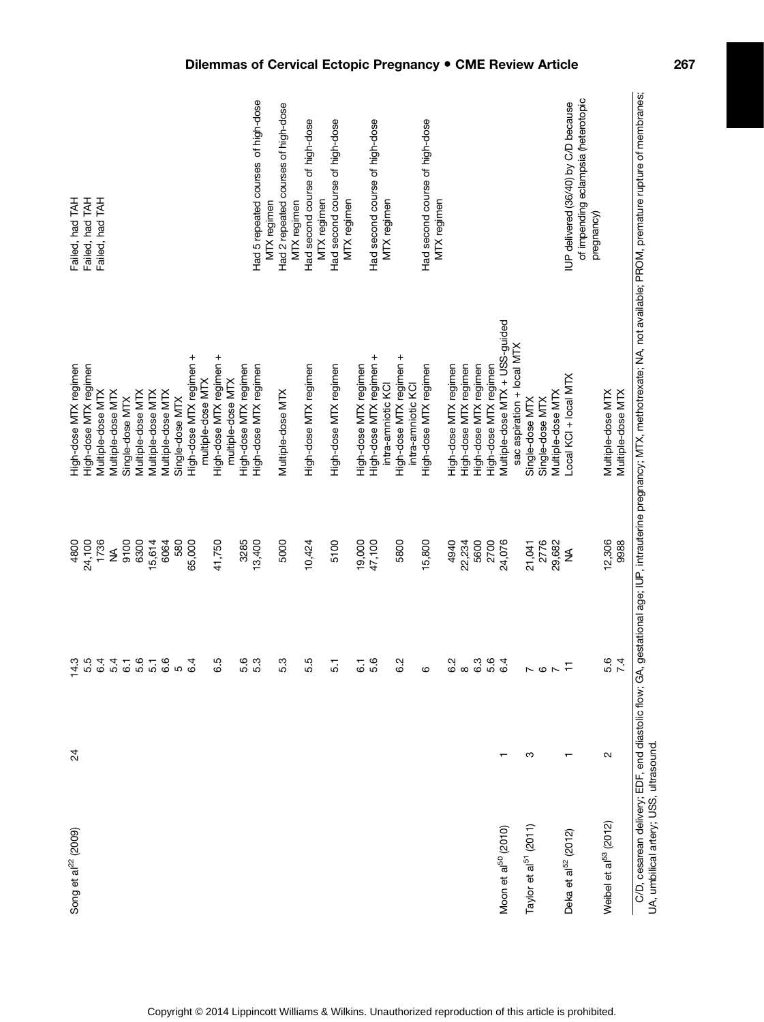| Song et al <sup>22</sup> (2009)        | $^{24}$ | 4.3                      | 4800          | High-dose MTX regimen                                                                                                                                                          | Failed, had TAH                                    |
|----------------------------------------|---------|--------------------------|---------------|--------------------------------------------------------------------------------------------------------------------------------------------------------------------------------|----------------------------------------------------|
|                                        |         | 5.5                      | 24,100        | High-dose MTX regimen                                                                                                                                                          | Failed, had TAH                                    |
|                                        |         | 6.4                      | 1736          | Multiple-dose MTX                                                                                                                                                              | Failed, had TAH                                    |
|                                        |         | 5.4                      | ≸             | Multiple-dose MTX                                                                                                                                                              |                                                    |
|                                        |         | 6.1                      | 9100          | Single-dose MTX                                                                                                                                                                |                                                    |
|                                        |         | 5.5<br>5.1               | 6300          | Multiple-dose MTX                                                                                                                                                              |                                                    |
|                                        |         |                          | 15,614        | Vlultiple-dose MTX                                                                                                                                                             |                                                    |
|                                        |         | 6.6                      | 6064          | Multiple-dose MTX                                                                                                                                                              |                                                    |
|                                        |         | LO.                      | 580           | Single-dose MTX                                                                                                                                                                |                                                    |
|                                        |         | 6.4                      | 65,000        | High-dose MTX regimen +                                                                                                                                                        |                                                    |
|                                        |         |                          |               | multiple-dose MTX                                                                                                                                                              |                                                    |
|                                        |         | 6.5                      | 41,750        | High-dose MTX regimen +                                                                                                                                                        |                                                    |
|                                        |         |                          |               | multiple-dose MTX                                                                                                                                                              |                                                    |
|                                        |         | 5.6                      | 3285          | High-dose MTX regimen                                                                                                                                                          |                                                    |
|                                        |         | 5.3                      | 13,400        | High-dose MTX regimen                                                                                                                                                          | Had 5 repeated courses of high-dose<br>MTX regimen |
|                                        |         | 5.3                      | 5000          | Multiple-dose MTX                                                                                                                                                              | Had 2 repeated courses of high-dose<br>MTX regimen |
|                                        |         | 5.5                      | 10,424        | High-dose MTX regimen                                                                                                                                                          | Had second course of high-dose<br>MTX regimen      |
|                                        |         | 5.1                      | 5100          | High-dose MTX regimen                                                                                                                                                          | Had second course of high-dose<br>MTX regimen      |
|                                        |         | $\overline{6}$ .         | 19,000        | High-dose MTX regimen                                                                                                                                                          |                                                    |
|                                        |         |                          |               |                                                                                                                                                                                |                                                    |
|                                        |         | 5.6                      | 47,100        | High-dose MTX regimen +                                                                                                                                                        | Had second course of high-dose                     |
|                                        |         |                          |               | intra-amniotic KCI                                                                                                                                                             | MTX regimen                                        |
|                                        |         | 6.2                      | 5800          | +igh-dose MTX regimen +<br>intra-amniotic KCI                                                                                                                                  |                                                    |
|                                        |         | $\circ$                  | 15,800        | High-dose MTX regimen                                                                                                                                                          | Had second course of high-dose                     |
|                                        |         |                          |               |                                                                                                                                                                                | MTX regimen                                        |
|                                        |         | 6.2                      | 4940          | High-dose MTX regimen                                                                                                                                                          |                                                    |
|                                        |         | $\infty$                 | 22,234        | High-dose MTX regimen                                                                                                                                                          |                                                    |
|                                        |         | 6.3                      | 5600          | High-dose MTX regimen                                                                                                                                                          |                                                    |
|                                        |         | 5.6                      | 2700          | High-dose MTX regimen                                                                                                                                                          |                                                    |
| Moon et al <sup>50</sup> (2010)        |         | 6.4                      | 24,076        | Vluitiple-dose MTX + USS-guided                                                                                                                                                |                                                    |
|                                        |         |                          |               | sac aspiration + local MTX                                                                                                                                                     |                                                    |
| Taylor et al <sup>51</sup> (2011)      | ო       | $\sim$ $\circ$           | 21,041        | Single-dose MTX                                                                                                                                                                |                                                    |
|                                        |         |                          | 2776          | Single-dose MTX                                                                                                                                                                |                                                    |
|                                        |         | $\overline{\phantom{a}}$ | 29,682        | Multiple-dose MTX                                                                                                                                                              |                                                    |
| Deka et al <sup>52</sup> (2012)        |         | $\overline{1}$           | $\frac{1}{2}$ | -ocal KCI + local MTX                                                                                                                                                          | IUP delivered (36/40) by C/D because               |
|                                        |         |                          |               |                                                                                                                                                                                | of impending eclampsia (heterotopic<br>pregnancy)  |
| Weibel et al <sup>53</sup> (2012)      | $\sim$  | 5.6                      | 12,306        | Multiple-dose MTX                                                                                                                                                              |                                                    |
|                                        |         | 7.4                      | 9988          | Multiple-dose MTX                                                                                                                                                              |                                                    |
| UA, umbilical artery; USS, ultrasound. |         |                          |               | C/D, cesarean delivery; EDF, end diastolic flow, GA, gestational age; IUP, intrauterine pregnancy; MTX, methotrexate; NA, not available; PROM, premature rupture of membranes; |                                                    |
|                                        |         |                          |               |                                                                                                                                                                                |                                                    |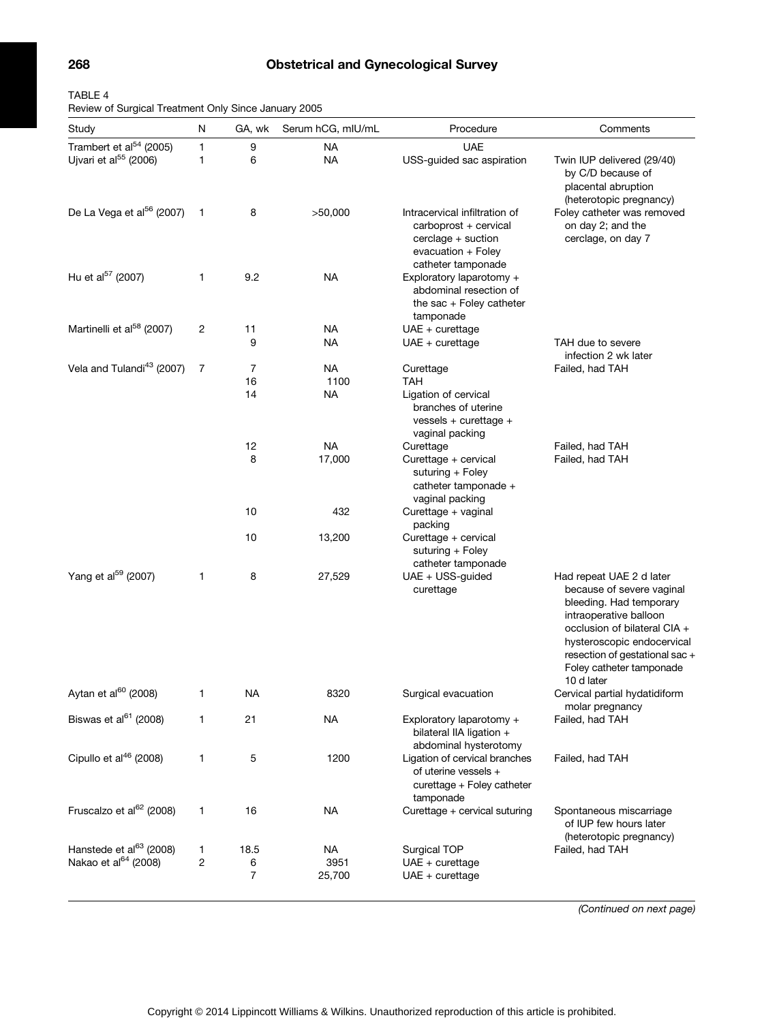# 268 Obstetrical and Gynecological Survey

| TABLE 4                                              |  |  |
|------------------------------------------------------|--|--|
| Review of Surgical Treatment Only Since January 2005 |  |  |

| Study                                 | Ν            | GA, wk    | Serum hCG, mIU/mL | Procedure                                                                                                           | Comments                                                                                                                                                                                                                                             |
|---------------------------------------|--------------|-----------|-------------------|---------------------------------------------------------------------------------------------------------------------|------------------------------------------------------------------------------------------------------------------------------------------------------------------------------------------------------------------------------------------------------|
| Trambert et al $54$ (2005)            | 1            | 9         | <b>NA</b>         | <b>UAE</b>                                                                                                          |                                                                                                                                                                                                                                                      |
| Ujvari et al <sup>55</sup> (2006)     | 1            | 6         | NA                | USS-guided sac aspiration                                                                                           | Twin IUP delivered (29/40)<br>by C/D because of<br>placental abruption<br>(heterotopic pregnancy)                                                                                                                                                    |
| De La Vega et al <sup>56</sup> (2007) | $\mathbf{1}$ | 8         | >50,000           | Intracervical infiltration of<br>carboprost + cervical<br>cerclage + suction<br>evacuation + Foley                  | Foley catheter was removed<br>on day 2; and the<br>cerclage, on day 7                                                                                                                                                                                |
| Hu et al <sup>57</sup> (2007)         | 1            | 9.2       | NA                | catheter tamponade<br>Exploratory laparotomy +<br>abdominal resection of<br>the sac $+$ Foley catheter<br>tamponade |                                                                                                                                                                                                                                                      |
| Martinelli et al <sup>58</sup> (2007) | 2            | 11        | NA                | $UAE + cureftage$                                                                                                   |                                                                                                                                                                                                                                                      |
|                                       |              | 9         | NA                | UAE + curettage                                                                                                     | TAH due to severe<br>infection 2 wk later                                                                                                                                                                                                            |
| Vela and Tulandi <sup>43</sup> (2007) | 7            | 7         | <b>NA</b>         | Curettage                                                                                                           | Failed, had TAH                                                                                                                                                                                                                                      |
|                                       |              | 16<br>14  | 1100<br>NA        | TAH<br>Ligation of cervical<br>branches of uterine<br>$vesels + curettage +$<br>vaginal packing                     |                                                                                                                                                                                                                                                      |
|                                       |              | 12        | <b>NA</b>         | Curettage                                                                                                           | Failed, had TAH                                                                                                                                                                                                                                      |
|                                       |              | 8         | 17,000            | Curettage + cervical<br>suturing + Foley<br>catheter tamponade +<br>vaginal packing                                 | Failed, had TAH                                                                                                                                                                                                                                      |
|                                       |              | 10        | 432               | Curettage + vaginal<br>packing                                                                                      |                                                                                                                                                                                                                                                      |
|                                       |              | 10        | 13,200            | Curettage + cervical<br>suturing + Foley<br>catheter tamponade                                                      |                                                                                                                                                                                                                                                      |
| Yang et al <sup>59</sup> (2007)       | 1            | 8         | 27,529            | UAE + USS-guided<br>curettage                                                                                       | Had repeat UAE 2 d later<br>because of severe vaginal<br>bleeding. Had temporary<br>intraoperative balloon<br>occlusion of bilateral CIA +<br>hysteroscopic endocervical<br>resection of gestational sac +<br>Foley catheter tamponade<br>10 d later |
| Aytan et al <sup>60</sup> (2008)      | 1            | <b>NA</b> | 8320              | Surgical evacuation                                                                                                 | Cervical partial hydatidiform<br>molar pregnancy                                                                                                                                                                                                     |
| Biswas et al <sup>61</sup> (2008)     | 1            | 21        | NA                | Exploratory laparotomy +<br>bilateral IIA ligation +<br>abdominal hysterotomy                                       | Failed, had TAH                                                                                                                                                                                                                                      |
| Cipullo et al <sup>46</sup> (2008)    | 1            | 5         | 1200              | Ligation of cervical branches<br>of uterine vessels +<br>curettage + Foley catheter<br>tamponade                    | Failed, had TAH                                                                                                                                                                                                                                      |
| Fruscalzo et al <sup>62</sup> (2008)  | 1            | 16        | <b>NA</b>         | Curettage + cervical suturing                                                                                       | Spontaneous miscarriage<br>of IUP few hours later<br>(heterotopic pregnancy)                                                                                                                                                                         |
| Hanstede et al <sup>63</sup> (2008)   | 1            | 18.5      | <b>NA</b>         | Surgical TOP                                                                                                        | Failed, had TAH                                                                                                                                                                                                                                      |
| Nakao et al <sup>64</sup> (2008)      | 2            | 6<br>7    | 3951<br>25,700    | $UAE + cureftage$<br>$UAE + cureftage$                                                                              |                                                                                                                                                                                                                                                      |
|                                       |              |           |                   |                                                                                                                     |                                                                                                                                                                                                                                                      |

(Continued on next page)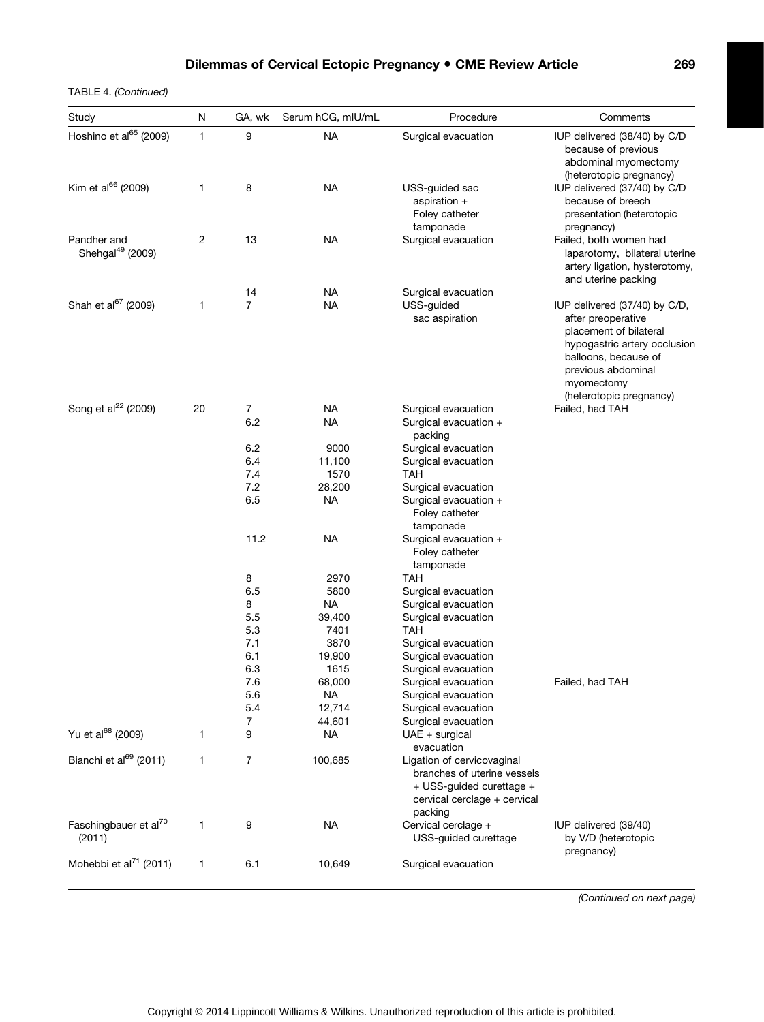TABLE 4. (Continued)

| Study                                       | N  | GA, wk         | Serum hCG, mIU/mL | Procedure                                                                                                                        | Comments                                                                                                                                                                                             |
|---------------------------------------------|----|----------------|-------------------|----------------------------------------------------------------------------------------------------------------------------------|------------------------------------------------------------------------------------------------------------------------------------------------------------------------------------------------------|
| Hoshino et al <sup>65</sup> (2009)          | 1  | 9              | <b>NA</b>         | Surgical evacuation                                                                                                              | IUP delivered (38/40) by C/D<br>because of previous<br>abdominal myomectomy<br>(heterotopic pregnancy)                                                                                               |
| Kim et al <sup>66</sup> (2009)              | 1  | 8              | <b>NA</b>         | USS-guided sac<br>aspiration +<br>Foley catheter<br>tamponade                                                                    | IUP delivered (37/40) by C/D<br>because of breech<br>presentation (heterotopic<br>pregnancy)                                                                                                         |
| Pandher and<br>Shehgal <sup>49</sup> (2009) | 2  | 13             | <b>NA</b>         | Surgical evacuation                                                                                                              | Failed, both women had<br>laparotomy, bilateral uterine<br>artery ligation, hysterotomy,<br>and uterine packing                                                                                      |
|                                             |    | 14             | <b>NA</b>         | Surgical evacuation                                                                                                              |                                                                                                                                                                                                      |
| Shah et al <sup>67</sup> (2009)             | 1  | $\overline{7}$ | <b>NA</b>         | USS-guided<br>sac aspiration                                                                                                     | IUP delivered (37/40) by C/D,<br>after preoperative<br>placement of bilateral<br>hypogastric artery occlusion<br>balloons, because of<br>previous abdominal<br>myomectomy<br>(heterotopic pregnancy) |
| Song et al <sup>22</sup> (2009)             | 20 | 7              | <b>NA</b>         | Surgical evacuation                                                                                                              | Failed, had TAH                                                                                                                                                                                      |
|                                             |    | 6.2            | <b>NA</b>         | Surgical evacuation +<br>packing                                                                                                 |                                                                                                                                                                                                      |
|                                             |    | 6.2            | 9000              | Surgical evacuation                                                                                                              |                                                                                                                                                                                                      |
|                                             |    | 6.4            | 11,100            | Surgical evacuation                                                                                                              |                                                                                                                                                                                                      |
|                                             |    | 7.4            | 1570              | TAH                                                                                                                              |                                                                                                                                                                                                      |
|                                             |    | 7.2            | 28,200            | Surgical evacuation                                                                                                              |                                                                                                                                                                                                      |
|                                             |    | 6.5            | <b>NA</b>         | Surgical evacuation +<br>Foley catheter<br>tamponade                                                                             |                                                                                                                                                                                                      |
|                                             |    | 11.2           | <b>NA</b>         | Surgical evacuation +<br>Foley catheter<br>tamponade                                                                             |                                                                                                                                                                                                      |
|                                             |    | 8              | 2970              | <b>TAH</b>                                                                                                                       |                                                                                                                                                                                                      |
|                                             |    | 6.5            | 5800              | Surgical evacuation                                                                                                              |                                                                                                                                                                                                      |
|                                             |    | 8              | <b>NA</b>         | Surgical evacuation                                                                                                              |                                                                                                                                                                                                      |
|                                             |    | 5.5            | 39,400            | Surgical evacuation                                                                                                              |                                                                                                                                                                                                      |
|                                             |    | 5.3            | 7401              | <b>TAH</b>                                                                                                                       |                                                                                                                                                                                                      |
|                                             |    | 7.1<br>6.1     | 3870              | Surgical evacuation                                                                                                              |                                                                                                                                                                                                      |
|                                             |    | 6.3            | 19,900<br>1615    | Surgical evacuation<br>Surgical evacuation                                                                                       |                                                                                                                                                                                                      |
|                                             |    | 7.6            | 68,000            | Surgical evacuation                                                                                                              | Failed, had TAH                                                                                                                                                                                      |
|                                             |    | 5.6            | <b>NA</b>         | Surgical evacuation                                                                                                              |                                                                                                                                                                                                      |
|                                             |    | 5.4            | 12,714            | Surgical evacuation                                                                                                              |                                                                                                                                                                                                      |
|                                             |    | 7              | 44,601            | Surgical evacuation                                                                                                              |                                                                                                                                                                                                      |
| Yu et al <sup>68</sup> (2009)               | 1  | 9              | <b>NA</b>         | $UAE + surgical$<br>evacuation                                                                                                   |                                                                                                                                                                                                      |
| Bianchi et al <sup>69</sup> (2011)          | 1  | 7              | 100,685           | Ligation of cervicovaginal<br>branches of uterine vessels<br>+ USS-guided curettage +<br>cervical cerclage + cervical<br>packing |                                                                                                                                                                                                      |
| Faschingbauer et al <sup>70</sup><br>(2011) | 1  | 9              | <b>NA</b>         | Cervical cerclage +<br>USS-guided curettage                                                                                      | IUP delivered (39/40)<br>by V/D (heterotopic<br>pregnancy)                                                                                                                                           |
| Mohebbi et al $^{71}$ (2011)                | 1  | 6.1            | 10,649            | Surgical evacuation                                                                                                              |                                                                                                                                                                                                      |

(Continued on next page)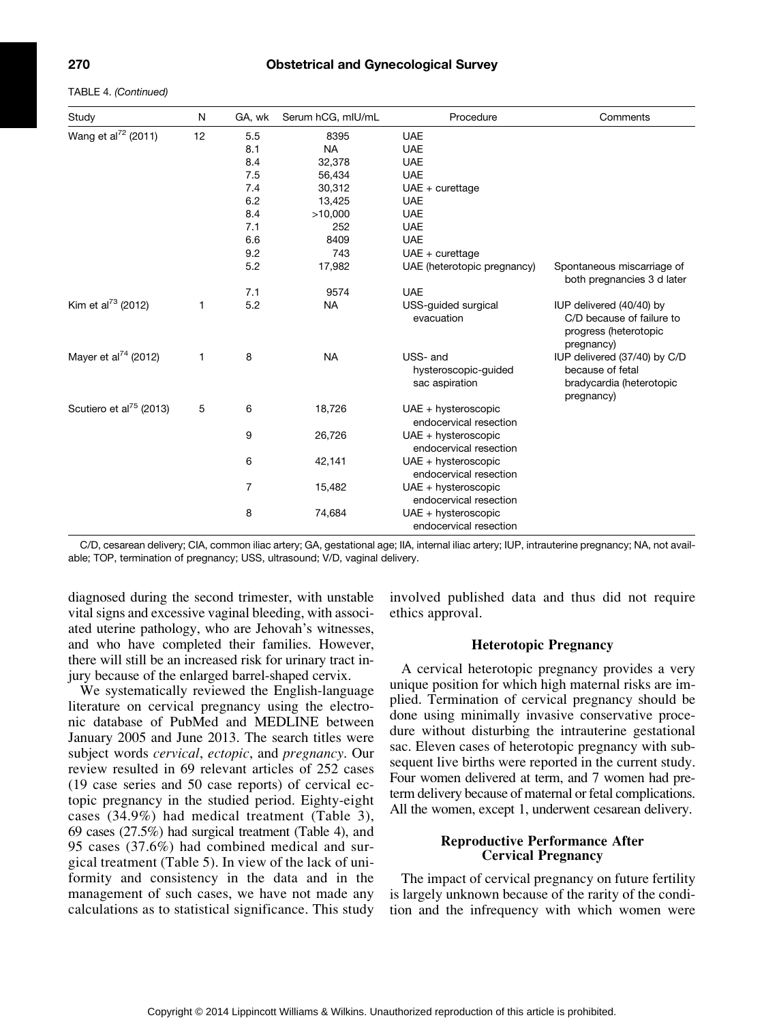TABLE 4. (Continued)

| Study                               | N  | GA, wk         | Serum hCG, mIU/mL | Procedure                                          | Comments                                                                                     |
|-------------------------------------|----|----------------|-------------------|----------------------------------------------------|----------------------------------------------------------------------------------------------|
| Wang et al <sup>72</sup> (2011)     | 12 | 5.5            | 8395              | <b>UAE</b>                                         |                                                                                              |
|                                     |    | 8.1            | <b>NA</b>         | <b>UAE</b>                                         |                                                                                              |
|                                     |    | 8.4            | 32,378            | <b>UAE</b>                                         |                                                                                              |
|                                     |    | 7.5            | 56,434            | <b>UAE</b>                                         |                                                                                              |
|                                     |    | 7.4            | 30,312            | $UAE + cureftage$                                  |                                                                                              |
|                                     |    | 6.2            | 13,425            | <b>UAE</b>                                         |                                                                                              |
|                                     |    | 8.4            | >10,000           | <b>UAE</b>                                         |                                                                                              |
|                                     |    | 7.1            | 252               | <b>UAE</b>                                         |                                                                                              |
|                                     |    | 6.6            | 8409              | <b>UAE</b>                                         |                                                                                              |
|                                     |    | 9.2            | 743               | $UAE + cureftage$                                  |                                                                                              |
|                                     |    | 5.2            | 17,982            | UAE (heterotopic pregnancy)                        | Spontaneous miscarriage of<br>both pregnancies 3 d later                                     |
|                                     |    | 7.1            | 9574              | <b>UAE</b>                                         |                                                                                              |
| Kim et al <sup>73</sup> (2012)      | 1  | 5.2            | <b>NA</b>         | USS-guided surgical<br>evacuation                  | IUP delivered (40/40) by<br>C/D because of failure to<br>progress (heterotopic<br>pregnancy) |
| Mayer et al <sup>74</sup> (2012)    | 1  | 8              | <b>NA</b>         | USS- and<br>hysteroscopic-guided<br>sac aspiration | IUP delivered (37/40) by C/D<br>because of fetal<br>bradycardia (heterotopic<br>pregnancy)   |
| Scutiero et al <sup>75</sup> (2013) | 5  | 6              | 18,726            | $UAE + hysteroscopic$<br>endocervical resection    |                                                                                              |
|                                     |    | 9              | 26,726            | UAE + hysteroscopic<br>endocervical resection      |                                                                                              |
|                                     |    | 6              | 42,141            | UAE + hysteroscopic<br>endocervical resection      |                                                                                              |
|                                     |    | $\overline{7}$ | 15,482            | $UAE + hysteroscopic$<br>endocervical resection    |                                                                                              |
|                                     |    | 8              | 74,684            | UAE + hysteroscopic<br>endocervical resection      |                                                                                              |

C/D, cesarean delivery; CIA, common iliac artery; GA, gestational age; IIA, internal iliac artery; IUP, intrauterine pregnancy; NA, not available; TOP, termination of pregnancy; USS, ultrasound; V/D, vaginal delivery.

diagnosed during the second trimester, with unstable vital signs and excessive vaginal bleeding, with associated uterine pathology, who are Jehovah's witnesses, and who have completed their families. However, there will still be an increased risk for urinary tract injury because of the enlarged barrel-shaped cervix.

We systematically reviewed the English-language literature on cervical pregnancy using the electronic database of PubMed and MEDLINE between January 2005 and June 2013. The search titles were subject words cervical, ectopic, and pregnancy. Our review resulted in 69 relevant articles of 252 cases (19 case series and 50 case reports) of cervical ectopic pregnancy in the studied period. Eighty-eight cases (34.9%) had medical treatment (Table 3), 69 cases (27.5%) had surgical treatment (Table 4), and 95 cases (37.6%) had combined medical and surgical treatment (Table 5). In view of the lack of uniformity and consistency in the data and in the management of such cases, we have not made any calculations as to statistical significance. This study involved published data and thus did not require ethics approval.

#### Heterotopic Pregnancy

A cervical heterotopic pregnancy provides a very unique position for which high maternal risks are implied. Termination of cervical pregnancy should be done using minimally invasive conservative procedure without disturbing the intrauterine gestational sac. Eleven cases of heterotopic pregnancy with subsequent live births were reported in the current study. Four women delivered at term, and 7 women had preterm delivery because of maternal or fetal complications. All the women, except 1, underwent cesarean delivery.

#### Reproductive Performance After Cervical Pregnancy

The impact of cervical pregnancy on future fertility is largely unknown because of the rarity of the condition and the infrequency with which women were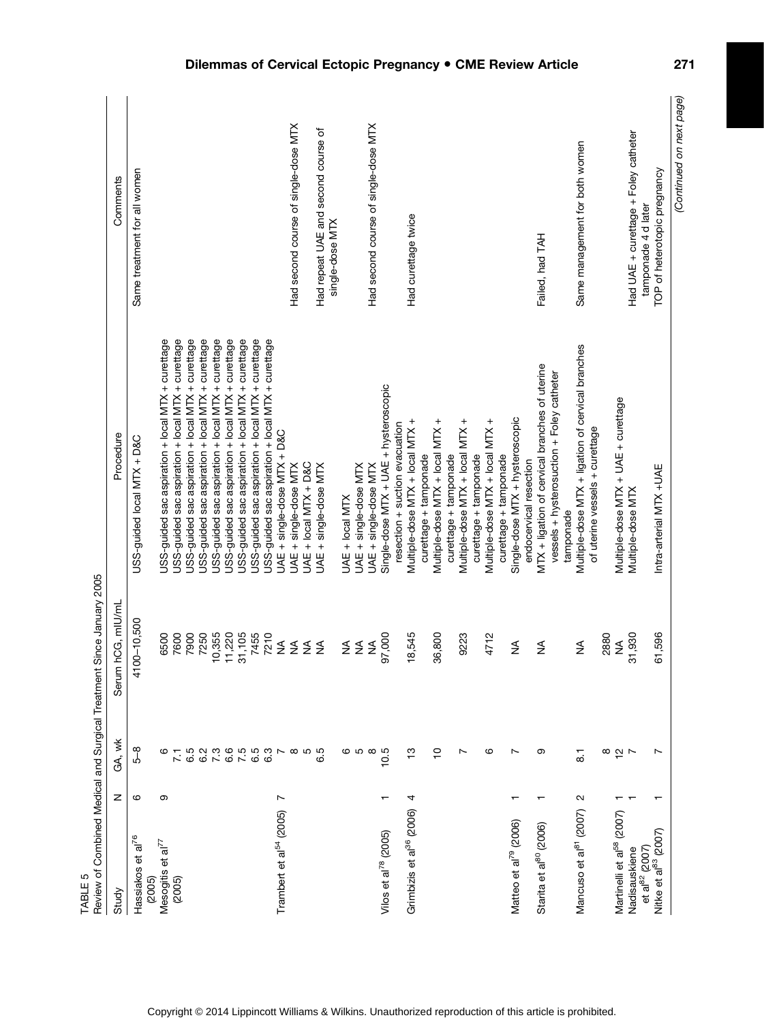| (Continued on next page)<br>Had second course of single-dose MTX<br>Had second course of single-dose MTX<br>Had repeat UAE and second course of<br>Had UAE + curettage + Foley catheter<br>Same management for both women<br>Same treatment for all women<br>TOP of heterotopic pregnancy<br>Comments<br>tamponade 4 d later<br>Had curettage twice<br>single-dose MTX<br>Failed, had TAH<br>JSS-guided sac aspiration + local MTX + curettage<br>JSS-guided sac aspiration + local MTX + curettage<br>JSS-guided sac aspiration + local MTX + curettage<br>JSS-guided sac aspiration + local MTX + curettage<br>JSS-guided sac aspiration + local MTX + curettage<br>JSS-guided sac aspiration + local MTX + curettage<br>JSS-guided sac aspiration + local MTX + curettage<br>JSS-guided sac aspiration + local MTX + curettage<br>JSS-guided sac aspiration + local MTX + curettage<br>Multiple-dose MTX + ligation of cervical branches<br>MTX + ligation of cervical branches of uterine<br>vessels + hysterosuction + Foley catheter<br>Single-dose MTX + UAE + hysteroscopic<br>Multiple-dose MTX + UAE + curettage<br>Single-dose MTX + hysteroscopic<br>Multiple-dose MTX + local MTX +<br>Multiple-dose MTX + local MTX +<br>Multiple-dose MTX + local MTX +<br>Multiple-dose MTX + local MTX +<br>resection + suction evacuation<br>of uterine vessels + curettage<br>UAE + single-dose MTX + D&C<br>Procedure<br>USS-guided local MTX + D&C<br>curettage + tamponade<br>curettage + tamponade<br>curettage + tamponade<br>curettage + tamponade<br>endocervical resection<br>JAE + local MTX + D&C<br>UAE + single-dose MTX<br>JAE + single-dose MTX<br>UAE + single-dose MTX<br>UAE + single-dose MTX<br>Intra-arterial MTX +UAE<br>Multiple-dose MTX<br>UAE + local MTX<br>tamponade<br>Serum hCG, mlU/mL<br>1100-10,500<br>31,105<br>7455<br>10,355<br>11,220<br>7210<br>36,800<br>6500<br>7600<br>7900<br>7250<br>97,000<br>18,545<br>4712<br>31,930<br>61,596<br>9223<br>2880<br>$\lessgtr$<br>≨≨<br>$\lessgtr$<br>⋚<br>$\lessgtr$<br>$\leq$<br>$\leq$<br>≸<br>≸<br>≨<br>GA, wk<br>$\frac{8}{5}$<br>$655$<br>$675$<br>e<br>Coreo<br>Co<br>$\frac{1}{2}$<br>$\overline{C}$<br>6.5<br>6.2<br>7.3<br>ဖေဖ<br>$\infty$<br>10.5<br>ဖ<br>$\overline{ }$<br>တ<br>$\frac{8}{5}$ $\frac{1}{5}$<br>ဖ<br>N<br>Ľ<br>$\overline{71}$<br>$\overline{8}$<br>z<br>ဖ<br>თ<br>N<br>$\overline{ }$<br>4<br>Grimbizis et al <sup>36</sup> (2006)<br>Mancuso et al <sup>81</sup> (2007)<br>Trambert et al <sup>54</sup> (2005)<br>Martinelli et al <sup>58</sup> (2007)<br>Matteo et al <sup>79</sup> (2006)<br>al <sup>80</sup> (2006)<br>Nitke et al <sup>83</sup> (2007)<br>Vilos et al <sup>78</sup> (2005)<br>Hassiakos et al <sup>76</sup><br>Mesogitis et al <sup>77</sup><br>et al $^{82}$ (2007)<br>Nadisauskiene<br>Starita et<br>(2005)<br>(2005)<br>Study | TABLE <sub>5</sub> |  | Review of Combined Medical and Surgical Treatment Since January 2005 |  |
|------------------------------------------------------------------------------------------------------------------------------------------------------------------------------------------------------------------------------------------------------------------------------------------------------------------------------------------------------------------------------------------------------------------------------------------------------------------------------------------------------------------------------------------------------------------------------------------------------------------------------------------------------------------------------------------------------------------------------------------------------------------------------------------------------------------------------------------------------------------------------------------------------------------------------------------------------------------------------------------------------------------------------------------------------------------------------------------------------------------------------------------------------------------------------------------------------------------------------------------------------------------------------------------------------------------------------------------------------------------------------------------------------------------------------------------------------------------------------------------------------------------------------------------------------------------------------------------------------------------------------------------------------------------------------------------------------------------------------------------------------------------------------------------------------------------------------------------------------------------------------------------------------------------------------------------------------------------------------------------------------------------------------------------------------------------------------------------------------------------------------------------------------------------------------------------------------------------------------------------------------------------------------------------------------------------------------------------------------------------------------------------------------------------------------------------------------------------------------------------------------------------------------------------------------------------------------------------------------------------------------------------------------------------------------------------------------------------------------------------------------------------------------------------------------------------------------------------------------------------|--------------------|--|----------------------------------------------------------------------|--|
|                                                                                                                                                                                                                                                                                                                                                                                                                                                                                                                                                                                                                                                                                                                                                                                                                                                                                                                                                                                                                                                                                                                                                                                                                                                                                                                                                                                                                                                                                                                                                                                                                                                                                                                                                                                                                                                                                                                                                                                                                                                                                                                                                                                                                                                                                                                                                                                                                                                                                                                                                                                                                                                                                                                                                                                                                                                                  |                    |  |                                                                      |  |
|                                                                                                                                                                                                                                                                                                                                                                                                                                                                                                                                                                                                                                                                                                                                                                                                                                                                                                                                                                                                                                                                                                                                                                                                                                                                                                                                                                                                                                                                                                                                                                                                                                                                                                                                                                                                                                                                                                                                                                                                                                                                                                                                                                                                                                                                                                                                                                                                                                                                                                                                                                                                                                                                                                                                                                                                                                                                  |                    |  |                                                                      |  |
|                                                                                                                                                                                                                                                                                                                                                                                                                                                                                                                                                                                                                                                                                                                                                                                                                                                                                                                                                                                                                                                                                                                                                                                                                                                                                                                                                                                                                                                                                                                                                                                                                                                                                                                                                                                                                                                                                                                                                                                                                                                                                                                                                                                                                                                                                                                                                                                                                                                                                                                                                                                                                                                                                                                                                                                                                                                                  |                    |  |                                                                      |  |
|                                                                                                                                                                                                                                                                                                                                                                                                                                                                                                                                                                                                                                                                                                                                                                                                                                                                                                                                                                                                                                                                                                                                                                                                                                                                                                                                                                                                                                                                                                                                                                                                                                                                                                                                                                                                                                                                                                                                                                                                                                                                                                                                                                                                                                                                                                                                                                                                                                                                                                                                                                                                                                                                                                                                                                                                                                                                  |                    |  |                                                                      |  |
|                                                                                                                                                                                                                                                                                                                                                                                                                                                                                                                                                                                                                                                                                                                                                                                                                                                                                                                                                                                                                                                                                                                                                                                                                                                                                                                                                                                                                                                                                                                                                                                                                                                                                                                                                                                                                                                                                                                                                                                                                                                                                                                                                                                                                                                                                                                                                                                                                                                                                                                                                                                                                                                                                                                                                                                                                                                                  |                    |  |                                                                      |  |
|                                                                                                                                                                                                                                                                                                                                                                                                                                                                                                                                                                                                                                                                                                                                                                                                                                                                                                                                                                                                                                                                                                                                                                                                                                                                                                                                                                                                                                                                                                                                                                                                                                                                                                                                                                                                                                                                                                                                                                                                                                                                                                                                                                                                                                                                                                                                                                                                                                                                                                                                                                                                                                                                                                                                                                                                                                                                  |                    |  |                                                                      |  |
|                                                                                                                                                                                                                                                                                                                                                                                                                                                                                                                                                                                                                                                                                                                                                                                                                                                                                                                                                                                                                                                                                                                                                                                                                                                                                                                                                                                                                                                                                                                                                                                                                                                                                                                                                                                                                                                                                                                                                                                                                                                                                                                                                                                                                                                                                                                                                                                                                                                                                                                                                                                                                                                                                                                                                                                                                                                                  |                    |  |                                                                      |  |
|                                                                                                                                                                                                                                                                                                                                                                                                                                                                                                                                                                                                                                                                                                                                                                                                                                                                                                                                                                                                                                                                                                                                                                                                                                                                                                                                                                                                                                                                                                                                                                                                                                                                                                                                                                                                                                                                                                                                                                                                                                                                                                                                                                                                                                                                                                                                                                                                                                                                                                                                                                                                                                                                                                                                                                                                                                                                  |                    |  |                                                                      |  |
|                                                                                                                                                                                                                                                                                                                                                                                                                                                                                                                                                                                                                                                                                                                                                                                                                                                                                                                                                                                                                                                                                                                                                                                                                                                                                                                                                                                                                                                                                                                                                                                                                                                                                                                                                                                                                                                                                                                                                                                                                                                                                                                                                                                                                                                                                                                                                                                                                                                                                                                                                                                                                                                                                                                                                                                                                                                                  |                    |  |                                                                      |  |
|                                                                                                                                                                                                                                                                                                                                                                                                                                                                                                                                                                                                                                                                                                                                                                                                                                                                                                                                                                                                                                                                                                                                                                                                                                                                                                                                                                                                                                                                                                                                                                                                                                                                                                                                                                                                                                                                                                                                                                                                                                                                                                                                                                                                                                                                                                                                                                                                                                                                                                                                                                                                                                                                                                                                                                                                                                                                  |                    |  |                                                                      |  |
|                                                                                                                                                                                                                                                                                                                                                                                                                                                                                                                                                                                                                                                                                                                                                                                                                                                                                                                                                                                                                                                                                                                                                                                                                                                                                                                                                                                                                                                                                                                                                                                                                                                                                                                                                                                                                                                                                                                                                                                                                                                                                                                                                                                                                                                                                                                                                                                                                                                                                                                                                                                                                                                                                                                                                                                                                                                                  |                    |  |                                                                      |  |
|                                                                                                                                                                                                                                                                                                                                                                                                                                                                                                                                                                                                                                                                                                                                                                                                                                                                                                                                                                                                                                                                                                                                                                                                                                                                                                                                                                                                                                                                                                                                                                                                                                                                                                                                                                                                                                                                                                                                                                                                                                                                                                                                                                                                                                                                                                                                                                                                                                                                                                                                                                                                                                                                                                                                                                                                                                                                  |                    |  |                                                                      |  |
|                                                                                                                                                                                                                                                                                                                                                                                                                                                                                                                                                                                                                                                                                                                                                                                                                                                                                                                                                                                                                                                                                                                                                                                                                                                                                                                                                                                                                                                                                                                                                                                                                                                                                                                                                                                                                                                                                                                                                                                                                                                                                                                                                                                                                                                                                                                                                                                                                                                                                                                                                                                                                                                                                                                                                                                                                                                                  |                    |  |                                                                      |  |
|                                                                                                                                                                                                                                                                                                                                                                                                                                                                                                                                                                                                                                                                                                                                                                                                                                                                                                                                                                                                                                                                                                                                                                                                                                                                                                                                                                                                                                                                                                                                                                                                                                                                                                                                                                                                                                                                                                                                                                                                                                                                                                                                                                                                                                                                                                                                                                                                                                                                                                                                                                                                                                                                                                                                                                                                                                                                  |                    |  |                                                                      |  |
|                                                                                                                                                                                                                                                                                                                                                                                                                                                                                                                                                                                                                                                                                                                                                                                                                                                                                                                                                                                                                                                                                                                                                                                                                                                                                                                                                                                                                                                                                                                                                                                                                                                                                                                                                                                                                                                                                                                                                                                                                                                                                                                                                                                                                                                                                                                                                                                                                                                                                                                                                                                                                                                                                                                                                                                                                                                                  |                    |  |                                                                      |  |
|                                                                                                                                                                                                                                                                                                                                                                                                                                                                                                                                                                                                                                                                                                                                                                                                                                                                                                                                                                                                                                                                                                                                                                                                                                                                                                                                                                                                                                                                                                                                                                                                                                                                                                                                                                                                                                                                                                                                                                                                                                                                                                                                                                                                                                                                                                                                                                                                                                                                                                                                                                                                                                                                                                                                                                                                                                                                  |                    |  |                                                                      |  |
|                                                                                                                                                                                                                                                                                                                                                                                                                                                                                                                                                                                                                                                                                                                                                                                                                                                                                                                                                                                                                                                                                                                                                                                                                                                                                                                                                                                                                                                                                                                                                                                                                                                                                                                                                                                                                                                                                                                                                                                                                                                                                                                                                                                                                                                                                                                                                                                                                                                                                                                                                                                                                                                                                                                                                                                                                                                                  |                    |  |                                                                      |  |
|                                                                                                                                                                                                                                                                                                                                                                                                                                                                                                                                                                                                                                                                                                                                                                                                                                                                                                                                                                                                                                                                                                                                                                                                                                                                                                                                                                                                                                                                                                                                                                                                                                                                                                                                                                                                                                                                                                                                                                                                                                                                                                                                                                                                                                                                                                                                                                                                                                                                                                                                                                                                                                                                                                                                                                                                                                                                  |                    |  |                                                                      |  |
|                                                                                                                                                                                                                                                                                                                                                                                                                                                                                                                                                                                                                                                                                                                                                                                                                                                                                                                                                                                                                                                                                                                                                                                                                                                                                                                                                                                                                                                                                                                                                                                                                                                                                                                                                                                                                                                                                                                                                                                                                                                                                                                                                                                                                                                                                                                                                                                                                                                                                                                                                                                                                                                                                                                                                                                                                                                                  |                    |  |                                                                      |  |
|                                                                                                                                                                                                                                                                                                                                                                                                                                                                                                                                                                                                                                                                                                                                                                                                                                                                                                                                                                                                                                                                                                                                                                                                                                                                                                                                                                                                                                                                                                                                                                                                                                                                                                                                                                                                                                                                                                                                                                                                                                                                                                                                                                                                                                                                                                                                                                                                                                                                                                                                                                                                                                                                                                                                                                                                                                                                  |                    |  |                                                                      |  |
|                                                                                                                                                                                                                                                                                                                                                                                                                                                                                                                                                                                                                                                                                                                                                                                                                                                                                                                                                                                                                                                                                                                                                                                                                                                                                                                                                                                                                                                                                                                                                                                                                                                                                                                                                                                                                                                                                                                                                                                                                                                                                                                                                                                                                                                                                                                                                                                                                                                                                                                                                                                                                                                                                                                                                                                                                                                                  |                    |  |                                                                      |  |
|                                                                                                                                                                                                                                                                                                                                                                                                                                                                                                                                                                                                                                                                                                                                                                                                                                                                                                                                                                                                                                                                                                                                                                                                                                                                                                                                                                                                                                                                                                                                                                                                                                                                                                                                                                                                                                                                                                                                                                                                                                                                                                                                                                                                                                                                                                                                                                                                                                                                                                                                                                                                                                                                                                                                                                                                                                                                  |                    |  |                                                                      |  |
|                                                                                                                                                                                                                                                                                                                                                                                                                                                                                                                                                                                                                                                                                                                                                                                                                                                                                                                                                                                                                                                                                                                                                                                                                                                                                                                                                                                                                                                                                                                                                                                                                                                                                                                                                                                                                                                                                                                                                                                                                                                                                                                                                                                                                                                                                                                                                                                                                                                                                                                                                                                                                                                                                                                                                                                                                                                                  |                    |  |                                                                      |  |
|                                                                                                                                                                                                                                                                                                                                                                                                                                                                                                                                                                                                                                                                                                                                                                                                                                                                                                                                                                                                                                                                                                                                                                                                                                                                                                                                                                                                                                                                                                                                                                                                                                                                                                                                                                                                                                                                                                                                                                                                                                                                                                                                                                                                                                                                                                                                                                                                                                                                                                                                                                                                                                                                                                                                                                                                                                                                  |                    |  |                                                                      |  |
|                                                                                                                                                                                                                                                                                                                                                                                                                                                                                                                                                                                                                                                                                                                                                                                                                                                                                                                                                                                                                                                                                                                                                                                                                                                                                                                                                                                                                                                                                                                                                                                                                                                                                                                                                                                                                                                                                                                                                                                                                                                                                                                                                                                                                                                                                                                                                                                                                                                                                                                                                                                                                                                                                                                                                                                                                                                                  |                    |  |                                                                      |  |
|                                                                                                                                                                                                                                                                                                                                                                                                                                                                                                                                                                                                                                                                                                                                                                                                                                                                                                                                                                                                                                                                                                                                                                                                                                                                                                                                                                                                                                                                                                                                                                                                                                                                                                                                                                                                                                                                                                                                                                                                                                                                                                                                                                                                                                                                                                                                                                                                                                                                                                                                                                                                                                                                                                                                                                                                                                                                  |                    |  |                                                                      |  |
|                                                                                                                                                                                                                                                                                                                                                                                                                                                                                                                                                                                                                                                                                                                                                                                                                                                                                                                                                                                                                                                                                                                                                                                                                                                                                                                                                                                                                                                                                                                                                                                                                                                                                                                                                                                                                                                                                                                                                                                                                                                                                                                                                                                                                                                                                                                                                                                                                                                                                                                                                                                                                                                                                                                                                                                                                                                                  |                    |  |                                                                      |  |
|                                                                                                                                                                                                                                                                                                                                                                                                                                                                                                                                                                                                                                                                                                                                                                                                                                                                                                                                                                                                                                                                                                                                                                                                                                                                                                                                                                                                                                                                                                                                                                                                                                                                                                                                                                                                                                                                                                                                                                                                                                                                                                                                                                                                                                                                                                                                                                                                                                                                                                                                                                                                                                                                                                                                                                                                                                                                  |                    |  |                                                                      |  |
|                                                                                                                                                                                                                                                                                                                                                                                                                                                                                                                                                                                                                                                                                                                                                                                                                                                                                                                                                                                                                                                                                                                                                                                                                                                                                                                                                                                                                                                                                                                                                                                                                                                                                                                                                                                                                                                                                                                                                                                                                                                                                                                                                                                                                                                                                                                                                                                                                                                                                                                                                                                                                                                                                                                                                                                                                                                                  |                    |  |                                                                      |  |
|                                                                                                                                                                                                                                                                                                                                                                                                                                                                                                                                                                                                                                                                                                                                                                                                                                                                                                                                                                                                                                                                                                                                                                                                                                                                                                                                                                                                                                                                                                                                                                                                                                                                                                                                                                                                                                                                                                                                                                                                                                                                                                                                                                                                                                                                                                                                                                                                                                                                                                                                                                                                                                                                                                                                                                                                                                                                  |                    |  |                                                                      |  |
|                                                                                                                                                                                                                                                                                                                                                                                                                                                                                                                                                                                                                                                                                                                                                                                                                                                                                                                                                                                                                                                                                                                                                                                                                                                                                                                                                                                                                                                                                                                                                                                                                                                                                                                                                                                                                                                                                                                                                                                                                                                                                                                                                                                                                                                                                                                                                                                                                                                                                                                                                                                                                                                                                                                                                                                                                                                                  |                    |  |                                                                      |  |
|                                                                                                                                                                                                                                                                                                                                                                                                                                                                                                                                                                                                                                                                                                                                                                                                                                                                                                                                                                                                                                                                                                                                                                                                                                                                                                                                                                                                                                                                                                                                                                                                                                                                                                                                                                                                                                                                                                                                                                                                                                                                                                                                                                                                                                                                                                                                                                                                                                                                                                                                                                                                                                                                                                                                                                                                                                                                  |                    |  |                                                                      |  |
|                                                                                                                                                                                                                                                                                                                                                                                                                                                                                                                                                                                                                                                                                                                                                                                                                                                                                                                                                                                                                                                                                                                                                                                                                                                                                                                                                                                                                                                                                                                                                                                                                                                                                                                                                                                                                                                                                                                                                                                                                                                                                                                                                                                                                                                                                                                                                                                                                                                                                                                                                                                                                                                                                                                                                                                                                                                                  |                    |  |                                                                      |  |
|                                                                                                                                                                                                                                                                                                                                                                                                                                                                                                                                                                                                                                                                                                                                                                                                                                                                                                                                                                                                                                                                                                                                                                                                                                                                                                                                                                                                                                                                                                                                                                                                                                                                                                                                                                                                                                                                                                                                                                                                                                                                                                                                                                                                                                                                                                                                                                                                                                                                                                                                                                                                                                                                                                                                                                                                                                                                  |                    |  |                                                                      |  |
|                                                                                                                                                                                                                                                                                                                                                                                                                                                                                                                                                                                                                                                                                                                                                                                                                                                                                                                                                                                                                                                                                                                                                                                                                                                                                                                                                                                                                                                                                                                                                                                                                                                                                                                                                                                                                                                                                                                                                                                                                                                                                                                                                                                                                                                                                                                                                                                                                                                                                                                                                                                                                                                                                                                                                                                                                                                                  |                    |  |                                                                      |  |
|                                                                                                                                                                                                                                                                                                                                                                                                                                                                                                                                                                                                                                                                                                                                                                                                                                                                                                                                                                                                                                                                                                                                                                                                                                                                                                                                                                                                                                                                                                                                                                                                                                                                                                                                                                                                                                                                                                                                                                                                                                                                                                                                                                                                                                                                                                                                                                                                                                                                                                                                                                                                                                                                                                                                                                                                                                                                  |                    |  |                                                                      |  |
|                                                                                                                                                                                                                                                                                                                                                                                                                                                                                                                                                                                                                                                                                                                                                                                                                                                                                                                                                                                                                                                                                                                                                                                                                                                                                                                                                                                                                                                                                                                                                                                                                                                                                                                                                                                                                                                                                                                                                                                                                                                                                                                                                                                                                                                                                                                                                                                                                                                                                                                                                                                                                                                                                                                                                                                                                                                                  |                    |  |                                                                      |  |
|                                                                                                                                                                                                                                                                                                                                                                                                                                                                                                                                                                                                                                                                                                                                                                                                                                                                                                                                                                                                                                                                                                                                                                                                                                                                                                                                                                                                                                                                                                                                                                                                                                                                                                                                                                                                                                                                                                                                                                                                                                                                                                                                                                                                                                                                                                                                                                                                                                                                                                                                                                                                                                                                                                                                                                                                                                                                  |                    |  |                                                                      |  |
|                                                                                                                                                                                                                                                                                                                                                                                                                                                                                                                                                                                                                                                                                                                                                                                                                                                                                                                                                                                                                                                                                                                                                                                                                                                                                                                                                                                                                                                                                                                                                                                                                                                                                                                                                                                                                                                                                                                                                                                                                                                                                                                                                                                                                                                                                                                                                                                                                                                                                                                                                                                                                                                                                                                                                                                                                                                                  |                    |  |                                                                      |  |
|                                                                                                                                                                                                                                                                                                                                                                                                                                                                                                                                                                                                                                                                                                                                                                                                                                                                                                                                                                                                                                                                                                                                                                                                                                                                                                                                                                                                                                                                                                                                                                                                                                                                                                                                                                                                                                                                                                                                                                                                                                                                                                                                                                                                                                                                                                                                                                                                                                                                                                                                                                                                                                                                                                                                                                                                                                                                  |                    |  |                                                                      |  |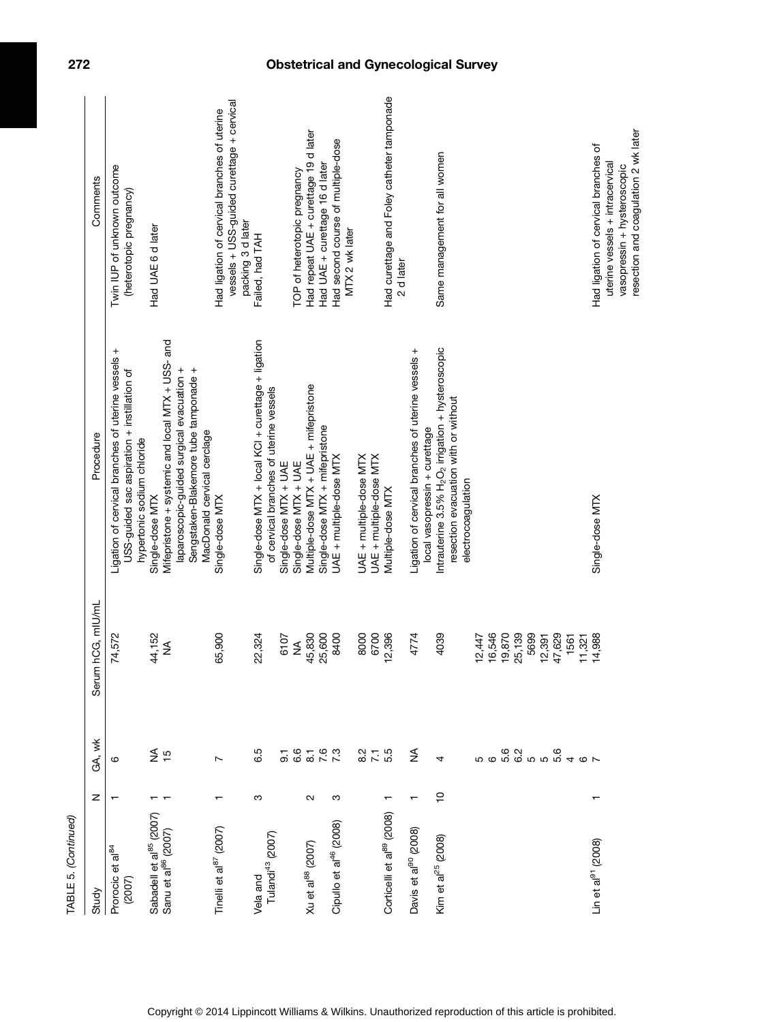| TABLE 5. (Continued)                                                   |                   |                        |                       |                                                                                                                                                           |                                                                                                                |
|------------------------------------------------------------------------|-------------------|------------------------|-----------------------|-----------------------------------------------------------------------------------------------------------------------------------------------------------|----------------------------------------------------------------------------------------------------------------|
| Study                                                                  | z                 | GA, wk                 | um hCG, mIU/mL<br>Ser | Procedure                                                                                                                                                 | Comments                                                                                                       |
| Prorocic et al <sup>84</sup><br>(2007)                                 | ᠇                 | ဖ                      | 74,572                | Ligation of cervical branches of uterine vessels +<br>USS-guided sac aspiration + instillation of<br>hypertonic sodium chloride                           | Twin IUP of unknown outcome<br>(heterotopic pregnancy)                                                         |
| Sabadell et al <sup>85</sup> (2007)<br>Sanu et al <sup>86</sup> (2007) |                   | $rac{4}{5}$            | 44,152<br>≸           | Mifepristone + systemic and local MTX + USS- and<br>Sengstaken-Blakemore tube tamponade +<br>laparoscopic-guided surgical evacuation +<br>Single-dose MTX | Had UAE 6 d later                                                                                              |
| Tinelli et al <sup>87</sup> (2007)                                     |                   | Ľ                      | 65,900                | MacDonald cervical cerclage<br>Single-dose MTX                                                                                                            | vessels + USS-guided curettage + cervical<br>Had ligation of cervical branches of uterine<br>packing 3 d later |
| Tulandi <sup>43</sup> (2007)<br>Vela and                               | ω                 | 6.5<br>5               | 22,324<br>6107        | Single-dose MTX + local KCl + curettage + ligation<br>of cervical branches of uterine vessels<br>Single-dose MTX + UAE                                    | Failed, had TAH                                                                                                |
| Xu et al <sup>88</sup> (2007)                                          | $\mathbf{\Omega}$ | ိဝ<br>$\overline{8}$ . | 45,830<br>25,600<br>≸ | Multiple-dose MTX + UAE + mifepristone<br>Single-dose MTX + mifepristone<br>Single-dose MTX + UAE                                                         | Had repeat UAE + curettage 19 d later<br>Had UAE + curettage 16 d later<br>TOP of heterotopic pregnancy        |
| Cipullo et al <sup>46</sup> (2008)                                     | S                 | $7.\overline{3}$       | 8400                  | UAE + multiple-dose MTX                                                                                                                                   | Had second course of multiple-dose<br>MTX 2 wk later                                                           |
|                                                                        |                   | $27 - 5$<br>$6 - 5$    | 8000<br>6700          | UAE + multiple-dose MTX<br>UAE + multiple-dose MTX                                                                                                        |                                                                                                                |
| Corticelli et al <sup>89</sup> (2008)                                  |                   |                        | 12,396                | Multiple-dose MTX                                                                                                                                         | Had curettage and Foley catheter tamponade<br>2 d later                                                        |
| Davis et al <sup>90</sup> (2008)                                       |                   | $\frac{4}{2}$          | 4774                  | Ligation of cervical branches of uterine vessels +<br>local vasopressin + curettage                                                                       |                                                                                                                |
| Kim et al <sup>25</sup> (2008)                                         | <u>۽</u>          | 4                      | 4039                  | Intrauterine $3.5\%$ H <sub>2</sub> O <sub>2</sub> irrigation + hysteroscopic<br>resection evacuation with or without<br>electrocoagulation               | Same management for all women                                                                                  |
|                                                                        |                   | cocococo<br>cococococo | 16,546<br>12,447      |                                                                                                                                                           |                                                                                                                |
|                                                                        |                   |                        | 19,870                |                                                                                                                                                           |                                                                                                                |
|                                                                        |                   |                        | 25,139<br>5699        |                                                                                                                                                           |                                                                                                                |
|                                                                        |                   |                        | 12,391                |                                                                                                                                                           |                                                                                                                |
|                                                                        |                   |                        | 47,629                |                                                                                                                                                           |                                                                                                                |
|                                                                        |                   | 40 <sub>0</sub>        | 11,321<br>1561        |                                                                                                                                                           |                                                                                                                |
| Lin et al <sup>91</sup> (2008)                                         | ↽                 |                        | 14,988                | Single-dose MTX                                                                                                                                           | Had ligation of cervical branches of                                                                           |
|                                                                        |                   |                        |                       |                                                                                                                                                           | resection and coagulation 2 wk later<br>uterine vessels + intracervical<br>vasopressin + hysteroscopic         |

# 272 Obstetrical and Gynecological Survey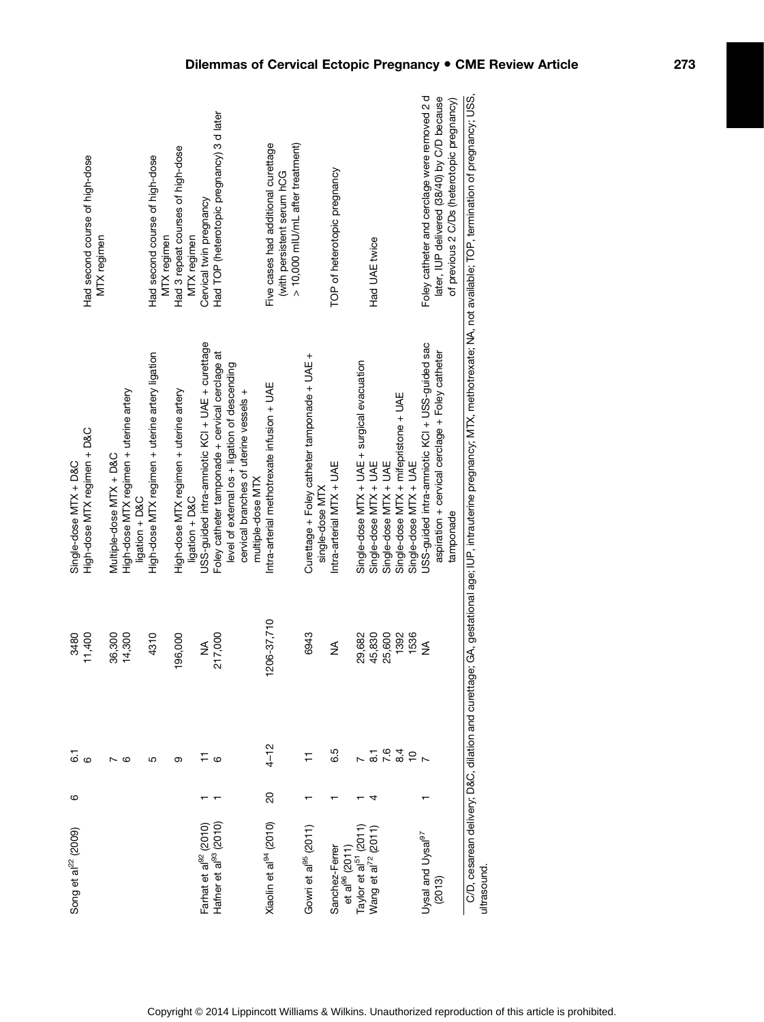| Song et al <sup>22</sup> (2009)                                        | ဖ              |                    | 3480        | Single-dose MTX + D&C                                                                                                                                                            |                                                                                                      |
|------------------------------------------------------------------------|----------------|--------------------|-------------|----------------------------------------------------------------------------------------------------------------------------------------------------------------------------------|------------------------------------------------------------------------------------------------------|
|                                                                        |                | <br>ග ග            | 11,400      | High-dose MTX regimen + D&C                                                                                                                                                      | Had second course of high-dose<br>MTX regimen                                                        |
|                                                                        |                |                    | 36,300      | Multiple-dose MTX + D&C                                                                                                                                                          |                                                                                                      |
|                                                                        |                | ဖ                  | 14,300      | High-dose MTX regimen + uterine artery                                                                                                                                           |                                                                                                      |
|                                                                        |                |                    |             | ligation + D&C                                                                                                                                                                   |                                                                                                      |
|                                                                        |                | 5                  | 4310        | High-dose MTX regimen + uterine artery ligation                                                                                                                                  | Had second course of high-dose<br>MTX regimen                                                        |
|                                                                        |                | ග                  | 196,000     | High-dose MTX regimen + uterine artery                                                                                                                                           | Had 3 repeat courses of high-dose                                                                    |
|                                                                        |                |                    |             | ligation + D&C                                                                                                                                                                   | MTX regimen                                                                                          |
| Farhat et al <sup>92</sup> (2010)<br>Hafner et al <sup>93</sup> (2010) |                |                    | ≸           | USS-guided intra-amniotic KCI + UAE + curettage                                                                                                                                  | Cervical twin pregnancy                                                                              |
|                                                                        |                | $\circ$            | 217,000     | Foley catheter tamponade + cervical cerclage at                                                                                                                                  | Had TOP (heterotopic pregnancy) 3 d later                                                            |
|                                                                        |                |                    |             | level of external os + ligation of descending                                                                                                                                    |                                                                                                      |
|                                                                        |                |                    |             | cervical branches of uterine vessels +<br>multiple-dose MTX                                                                                                                      |                                                                                                      |
|                                                                        |                |                    |             |                                                                                                                                                                                  |                                                                                                      |
| Xiaolin et al <sup>94</sup> (2010)                                     | $\overline{6}$ | $4 - 12$           | 1206-37,710 | Intra-arterial methotrexate infusion + UAE                                                                                                                                       | Five cases had additional curettage<br>> 10,000 mIU/mL after treatment)<br>with persistent serum hCG |
|                                                                        |                |                    |             |                                                                                                                                                                                  |                                                                                                      |
| Gowri et al <sup>95</sup> (2011)                                       |                |                    | 6943        | Curettage + Foley catheter tamponade + UAE +<br>single-dose MTX                                                                                                                  |                                                                                                      |
| Sanchez-Ferrer<br>et al $^{96}$ (2011)                                 |                | 6.5                | ≸           | Intra-arterial MTX + UAE                                                                                                                                                         | TOP of heterotopic pregnancy                                                                         |
| Taylor et al <sup>51</sup> (2011)                                      |                |                    | 29,682      | Single-dose MTX + UAE + surgical evacuation                                                                                                                                      |                                                                                                      |
| Wang et al <sup>72</sup> (2011)                                        |                | $\overline{\circ}$ | 45,830      | Single-dose MTX + UAE                                                                                                                                                            | Had UAE twice                                                                                        |
|                                                                        |                |                    | 25,600      | Single-dose MTX + UAE                                                                                                                                                            |                                                                                                      |
|                                                                        |                | 7.84               | 1392        | Single-dose MTX + mifepristone + UAE                                                                                                                                             |                                                                                                      |
|                                                                        |                | $\overline{C}$     | 1536        | Single-dose MTX + UAE                                                                                                                                                            |                                                                                                      |
| Uysal and Uysal <sup>97</sup>                                          |                |                    | ≸           | USS-guided intra-amniotic KCI + USS-guided sac                                                                                                                                   | Foley catheter and cerclage were removed 2d                                                          |
| (2013)                                                                 |                |                    |             | aspiration + cervical cerclage + Foley catheter                                                                                                                                  | later, IUP delivered (38/40) by C/D because                                                          |
|                                                                        |                |                    |             | tamponade                                                                                                                                                                        | of previous 2 C/Ds (heterotopic pregnancy)                                                           |
| ultrasound.                                                            |                |                    |             | C/D, cesarean delivery; D&C, dilation and curettage; GA, gestational age; IUP, intrauterine pregnancy; WTX, methotrexate; NA, not available; TOP, termination of pregnancy; USS, |                                                                                                      |
|                                                                        |                |                    |             |                                                                                                                                                                                  |                                                                                                      |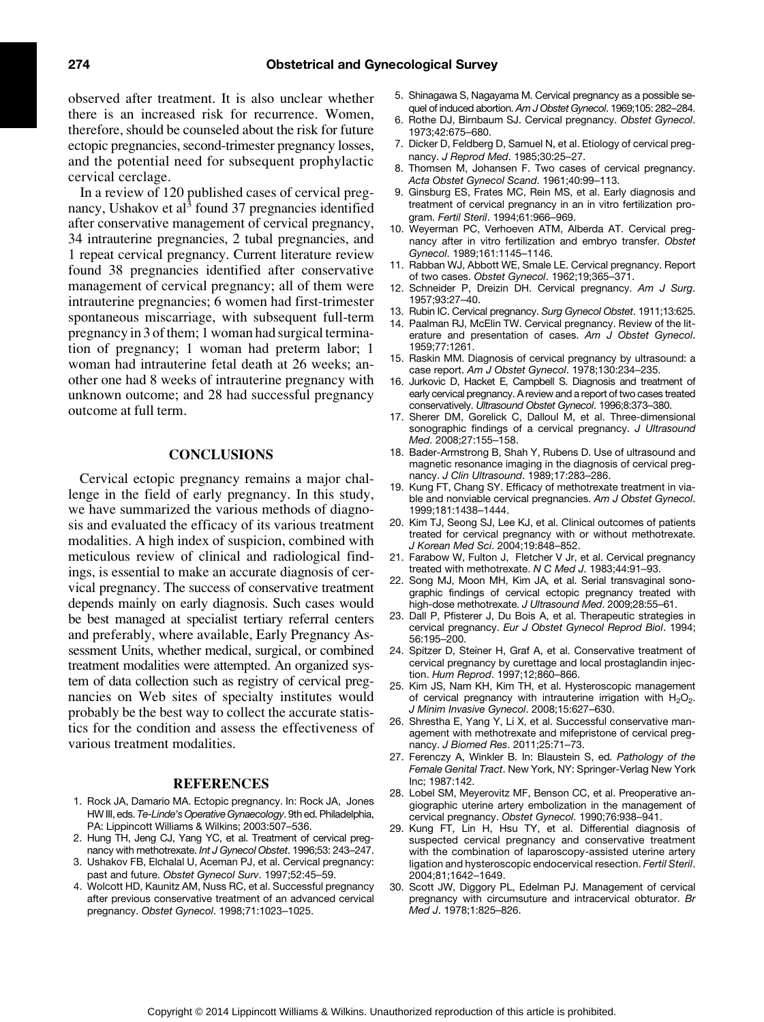observed after treatment. It is also unclear whether there is an increased risk for recurrence. Women, therefore, should be counseled about the risk for future ectopic pregnancies, second-trimester pregnancy losses, and the potential need for subsequent prophylactic cervical cerclage.

In a review of 120 published cases of cervical pregnancy, Ushakov et al<sup>3</sup> found 37 pregnancies identified after conservative management of cervical pregnancy, 34 intrauterine pregnancies, 2 tubal pregnancies, and 1 repeat cervical pregnancy. Current literature review found 38 pregnancies identified after conservative management of cervical pregnancy; all of them were intrauterine pregnancies; 6 women had first-trimester spontaneous miscarriage, with subsequent full-term pregnancy in 3 of them; 1 woman had surgical termination of pregnancy; 1 woman had preterm labor; 1 woman had intrauterine fetal death at 26 weeks; another one had 8 weeks of intrauterine pregnancy with unknown outcome; and 28 had successful pregnancy outcome at full term.

#### CONCLUSIONS

Cervical ectopic pregnancy remains a major challenge in the field of early pregnancy. In this study, we have summarized the various methods of diagnosis and evaluated the efficacy of its various treatment modalities. A high index of suspicion, combined with meticulous review of clinical and radiological findings, is essential to make an accurate diagnosis of cervical pregnancy. The success of conservative treatment depends mainly on early diagnosis. Such cases would be best managed at specialist tertiary referral centers and preferably, where available, Early Pregnancy Assessment Units, whether medical, surgical, or combined treatment modalities were attempted. An organized system of data collection such as registry of cervical pregnancies on Web sites of specialty institutes would probably be the best way to collect the accurate statistics for the condition and assess the effectiveness of various treatment modalities.

#### REFERENCES

- 1. Rock JA, Damario MA. Ectopic pregnancy. In: Rock JA, Jones HW III, eds. Te-Linde's Operative Gynaecology. 9th ed. Philadelphia, PA: Lippincott Williams & Wilkins; 2003:507–536.
- 2. Hung TH, Jeng CJ, Yang YC, et al. Treatment of cervical pregnancy with methotrexate. Int J Gynecol Obstet. 1996;53: 243–247.
- 3. Ushakov FB, Elchalal U, Aceman PJ, et al. Cervical pregnancy: past and future. Obstet Gynecol Surv. 1997;52:45–59.
- 4. Wolcott HD, Kaunitz AM, Nuss RC, et al. Successful pregnancy after previous conservative treatment of an advanced cervical pregnancy. Obstet Gynecol. 1998;71:1023–1025.
- 5. Shinagawa S, Nagayama M. Cervical pregnancy as a possible sequel of induced abortion. Am J Obstet Gynecol. 1969;105: 282–284.
- 6. Rothe DJ, Birnbaum SJ. Cervical pregnancy. Obstet Gynecol. 1973;42:675–680.
- 7. Dicker D, Feldberg D, Samuel N, et al. Etiology of cervical pregnancy. J Reprod Med. 1985;30:25–27.
- 8. Thomsen M, Johansen F. Two cases of cervical pregnancy. Acta Obstet Gynecol Scand. 1961;40:99–113.
- 9. Ginsburg ES, Frates MC, Rein MS, et al. Early diagnosis and treatment of cervical pregnancy in an in vitro fertilization program. Fertil Steril. 1994;61:966–969.
- 10. Weyerman PC, Verhoeven ATM, Alberda AT. Cervical pregnancy after in vitro fertilization and embryo transfer. Obstet Gynecol. 1989;161:1145–1146.
- 11. Rabban WJ, Abbott WE, Smale LE. Cervical pregnancy. Report of two cases. Obstet Gynecol. 1962;19;365–371.
- 12. Schneider P, Dreizin DH. Cervical pregnancy. Am J Surg. 1957;93:27–40.
- 13. Rubin IC. Cervical pregnancy. Surg Gynecol Obstet. 1911;13:625.
- 14. Paalman RJ, McElin TW. Cervical pregnancy. Review of the literature and presentation of cases. Am J Obstet Gynecol. 1959;77:1261.
- 15. Raskin MM. Diagnosis of cervical pregnancy by ultrasound: a case report. Am J Obstet Gynecol. 1978;130:234–235.
- 16. Jurkovic D, Hacket E, Campbell S. Diagnosis and treatment of early cervical pregnancy. A review and a report of two cases treated conservatively. Ultrasound Obstet Gynecol. 1996;8:373–380.
- 17. Sherer DM, Gorelick C, Dalloul M, et al. Three-dimensional sonographic findings of a cervical pregnancy. J Ultrasound Med. 2008;27:155–158.
- 18. Bader-Armstrong B, Shah Y, Rubens D. Use of ultrasound and magnetic resonance imaging in the diagnosis of cervical pregnancy. J Clin Ultrasound. 1989;17:283–286.
- 19. Kung FT, Chang SY. Efficacy of methotrexate treatment in viable and nonviable cervical pregnancies. Am J Obstet Gynecol. 1999;181:1438–1444.
- 20. Kim TJ, Seong SJ, Lee KJ, et al. Clinical outcomes of patients treated for cervical pregnancy with or without methotrexate. J Korean Med Sci. 2004;19:848–852.
- 21. Farabow W, Fulton J, Fletcher V Jr, et al. Cervical pregnancy treated with methotrexate. N C Med J. 1983;44:91–93.
- 22. Song MJ, Moon MH, Kim JA, et al. Serial transvaginal sonographic findings of cervical ectopic pregnancy treated with high-dose methotrexate. J Ultrasound Med. 2009;28:55-61.
- 23. Dall P, Pfisterer J, Du Bois A, et al. Therapeutic strategies in cervical pregnancy. Eur J Obstet Gynecol Reprod Biol. 1994; 56:195–200.
- 24. Spitzer D, Steiner H, Graf A, et al. Conservative treatment of cervical pregnancy by curettage and local prostaglandin injection. Hum Reprod. 1997;12;860–866.
- 25. Kim JS, Nam KH, Kim TH, et al. Hysteroscopic management of cervical pregnancy with intrauterine irrigation with  $H_2O_2$ . J Minim Invasive Gynecol. 2008;15:627–630.
- 26. Shrestha E, Yang Y, Li X, et al. Successful conservative management with methotrexate and mifepristone of cervical pregnancy. J Biomed Res. 2011;25:71–73.
- 27. Ferenczy A, Winkler B. In: Blaustein S, ed. Pathology of the Female Genital Tract. New York, NY: Springer-Verlag New York Inc; 1987:142.
- 28. Lobel SM, Meyerovitz MF, Benson CC, et al. Preoperative angiographic uterine artery embolization in the management of cervical pregnancy. Obstet Gynecol. 1990;76:938–941.
- 29. Kung FT, Lin H, Hsu TY, et al. Differential diagnosis of suspected cervical pregnancy and conservative treatment with the combination of laparoscopy-assisted uterine artery ligation and hysteroscopic endocervical resection. Fertil Steril. 2004;81;1642–1649.
- 30. Scott JW, Diggory PL, Edelman PJ. Management of cervical pregnancy with circumsuture and intracervical obturator. Br Med J. 1978;1:825–826.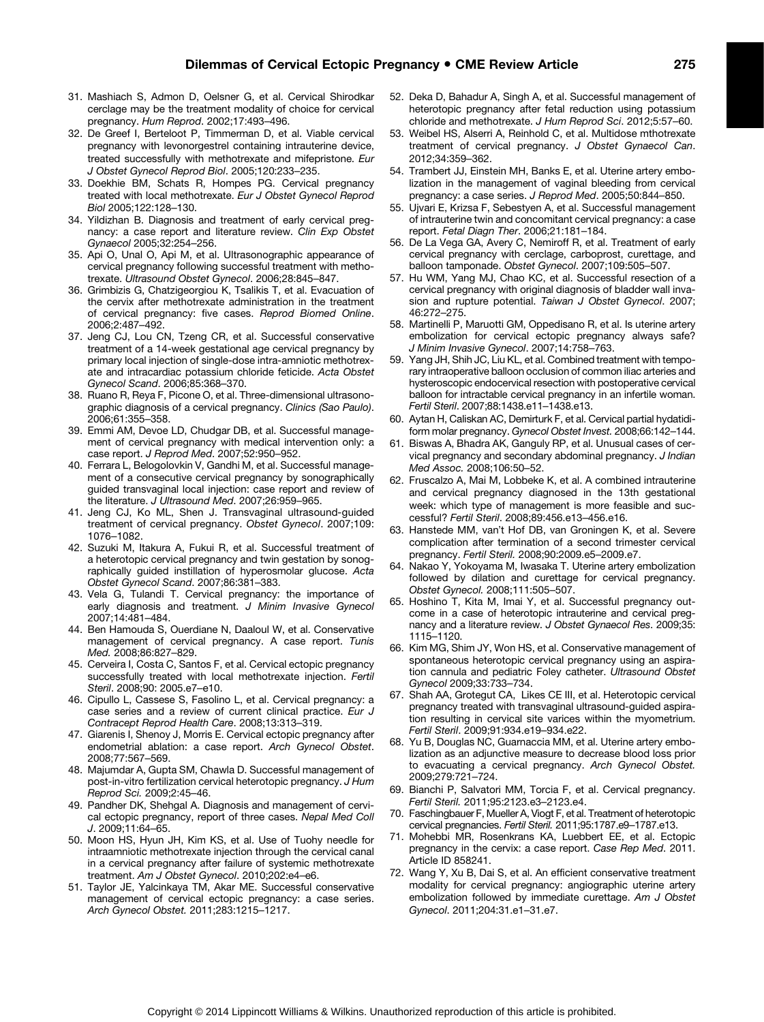- 31. Mashiach S, Admon D, Oelsner G, et al. Cervical Shirodkar cerclage may be the treatment modality of choice for cervical pregnancy. Hum Reprod. 2002;17:493–496.
- 32. De Greef I, Berteloot P, Timmerman D, et al. Viable cervical pregnancy with levonorgestrel containing intrauterine device, treated successfully with methotrexate and mifepristone. Eur J Obstet Gynecol Reprod Biol. 2005;120:233–235.
- 33. Doekhie BM, Schats R, Hompes PG. Cervical pregnancy treated with local methotrexate. Eur J Obstet Gynecol Reprod Biol 2005;122:128–130.
- 34. Yildizhan B. Diagnosis and treatment of early cervical pregnancy: a case report and literature review. Clin Exp Obstet Gynaecol 2005;32:254–256.
- 35. Api O, Unal O, Api M, et al. Ultrasonographic appearance of cervical pregnancy following successful treatment with methotrexate. Ultrasound Obstet Gynecol. 2006;28:845–847.
- 36. Grimbizis G, Chatzigeorgiou K, Tsalikis T, et al. Evacuation of the cervix after methotrexate administration in the treatment of cervical pregnancy: five cases. Reprod Biomed Online. 2006;2:487–492.
- 37. Jeng CJ, Lou CN, Tzeng CR, et al. Successful conservative treatment of a 14-week gestational age cervical pregnancy by primary local injection of single-dose intra-amniotic methotrexate and intracardiac potassium chloride feticide. Acta Obstet Gynecol Scand. 2006;85:368–370.
- 38. Ruano R, Reya F, Picone O, et al. Three-dimensional ultrasonographic diagnosis of a cervical pregnancy. Clinics (Sao Paulo). 2006;61:355–358.
- 39. Emmi AM, Devoe LD, Chudgar DB, et al. Successful management of cervical pregnancy with medical intervention only: a case report. J Reprod Med. 2007;52:950–952.
- 40. Ferrara L, Belogolovkin V, Gandhi M, et al. Successful management of a consecutive cervical pregnancy by sonographically guided transvaginal local injection: case report and review of the literature. J Ultrasound Med. 2007;26:959–965.
- 41. Jeng CJ, Ko ML, Shen J. Transvaginal ultrasound-guided treatment of cervical pregnancy. Obstet Gynecol. 2007;109: 1076–1082.
- 42. Suzuki M, Itakura A, Fukui R, et al. Successful treatment of a heterotopic cervical pregnancy and twin gestation by sonographically guided instillation of hyperosmolar glucose. Acta Obstet Gynecol Scand. 2007;86:381–383.
- 43. Vela G, Tulandi T. Cervical pregnancy: the importance of early diagnosis and treatment. J Minim Invasive Gynecol 2007;14:481–484.
- 44. Ben Hamouda S, Ouerdiane N, Daaloul W, et al. Conservative management of cervical pregnancy. A case report. Tunis Med. 2008;86:827–829.
- 45. Cerveira I, Costa C, Santos F, et al. Cervical ectopic pregnancy successfully treated with local methotrexate injection. Fertil Steril. 2008;90: 2005.e7–e10.
- 46. Cipullo L, Cassese S, Fasolino L, et al. Cervical pregnancy: a case series and a review of current clinical practice. Eur J Contracept Reprod Health Care. 2008;13:313–319.
- 47. Giarenis I, Shenoy J, Morris E. Cervical ectopic pregnancy after endometrial ablation: a case report. Arch Gynecol Obstet. 2008;77:567–569.
- 48. Majumdar A, Gupta SM, Chawla D. Successful management of post-in-vitro fertilization cervical heterotopic pregnancy. J Hum Reprod Sci. 2009;2:45–46.
- 49. Pandher DK, Shehgal A. Diagnosis and management of cervical ectopic pregnancy, report of three cases. Nepal Med Coll J. 2009;11:64–65.
- 50. Moon HS, Hyun JH, Kim KS, et al. Use of Tuohy needle for intraamniotic methotrexate injection through the cervical canal in a cervical pregnancy after failure of systemic methotrexate treatment. Am J Obstet Gynecol. 2010;202:e4–e6.
- 51. Taylor JE, Yalcinkaya TM, Akar ME. Successful conservative management of cervical ectopic pregnancy: a case series. Arch Gynecol Obstet. 2011;283:1215–1217.
- 52. Deka D, Bahadur A, Singh A, et al. Successful management of heterotopic pregnancy after fetal reduction using potassium chloride and methotrexate. J Hum Reprod Sci. 2012;5:57–60.
- 53. Weibel HS, Alserri A, Reinhold C, et al. Multidose mthotrexate treatment of cervical pregnancy. J Obstet Gynaecol Can. 2012;34:359–362.
- 54. Trambert JJ, Einstein MH, Banks E, et al. Uterine artery embolization in the management of vaginal bleeding from cervical pregnancy: a case series. J Reprod Med. 2005;50:844–850.
- 55. Ujvari E, Krizsa F, Sebestyen A, et al. Successful management of intrauterine twin and concomitant cervical pregnancy: a case report. Fetal Diagn Ther. 2006;21:181–184.
- 56. De La Vega GA, Avery C, Nemiroff R, et al. Treatment of early cervical pregnancy with cerclage, carboprost, curettage, and balloon tamponade. Obstet Gynecol. 2007;109:505–507.
- 57. Hu WM, Yang MJ, Chao KC, et al. Successful resection of a cervical pregnancy with original diagnosis of bladder wall invasion and rupture potential. Taiwan J Obstet Gynecol. 2007; 46:272–275.
- 58. Martinelli P, Maruotti GM, Oppedisano R, et al. Is uterine artery embolization for cervical ectopic pregnancy always safe? J Minim Invasive Gynecol. 2007;14:758–763.
- 59. Yang JH, Shih JC, Liu KL, et al. Combined treatment with temporary intraoperative balloon occlusion of common iliac arteries and hysteroscopic endocervical resection with postoperative cervical balloon for intractable cervical pregnancy in an infertile woman. Fertil Steril. 2007;88:1438.e11–1438.e13.
- 60. Aytan H, Caliskan AC, Demirturk F, et al. Cervical partial hydatidiform molar pregnancy. Gynecol Obstet Invest. 2008;66:142–144.
- 61. Biswas A, Bhadra AK, Ganguly RP, et al. Unusual cases of cervical pregnancy and secondary abdominal pregnancy. J Indian Med Assoc. 2008;106:50–52.
- 62. Fruscalzo A, Mai M, Lobbeke K, et al. A combined intrauterine and cervical pregnancy diagnosed in the 13th gestational week: which type of management is more feasible and successful? Fertil Steril. 2008;89:456.e13–456.e16.
- 63. Hanstede MM, van't Hof DB, van Groningen K, et al. Severe complication after termination of a second trimester cervical pregnancy. Fertil Steril. 2008;90:2009.e5–2009.e7.
- 64. Nakao Y, Yokoyama M, Iwasaka T. Uterine artery embolization followed by dilation and curettage for cervical pregnancy. Obstet Gynecol. 2008;111:505–507.
- 65. Hoshino T, Kita M, Imai Y, et al. Successful pregnancy outcome in a case of heterotopic intrauterine and cervical pregnancy and a literature review. J Obstet Gynaecol Res. 2009;35: 1115–1120.
- 66. Kim MG, Shim JY, Won HS, et al. Conservative management of spontaneous heterotopic cervical pregnancy using an aspiration cannula and pediatric Foley catheter. Ultrasound Obstet Gynecol 2009;33:733–734.
- 67. Shah AA, Grotegut CA, Likes CE III, et al. Heterotopic cervical pregnancy treated with transvaginal ultrasound-guided aspiration resulting in cervical site varices within the myometrium. Fertil Steril. 2009;91:934.e19–934.e22.
- 68. Yu B, Douglas NC, Guarnaccia MM, et al. Uterine artery embolization as an adjunctive measure to decrease blood loss prior to evacuating a cervical pregnancy. Arch Gynecol Obstet. 2009;279:721–724.
- 69. Bianchi P, Salvatori MM, Torcia F, et al. Cervical pregnancy. Fertil Steril. 2011;95:2123.e3–2123.e4.
- 70. Faschingbauer F, Mueller A, Viogt F, et al. Treatment of heterotopic cervical pregnancies. Fertil Steril. 2011;95:1787.e9–1787.e13.
- 71. Mohebbi MR, Rosenkrans KA, Luebbert EE, et al. Ectopic pregnancy in the cervix: a case report. Case Rep Med. 2011. Article ID 858241.
- 72. Wang Y, Xu B, Dai S, et al. An efficient conservative treatment modality for cervical pregnancy: angiographic uterine artery embolization followed by immediate curettage. Am J Obstet Gynecol. 2011;204:31.e1–31.e7.